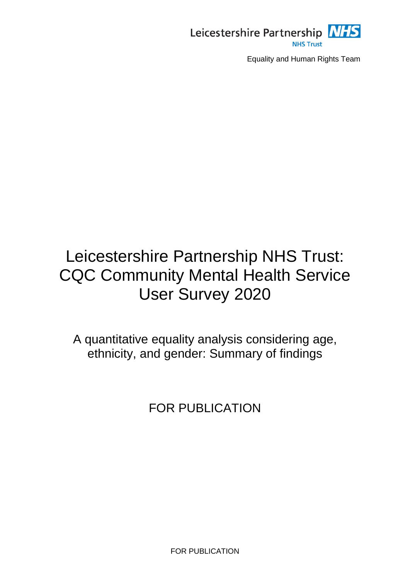

# Leicestershire Partnership NHS Trust: CQC Community Mental Health Service User Survey 2020

A quantitative equality analysis considering age, ethnicity, and gender: Summary of findings

FOR PUBLICATION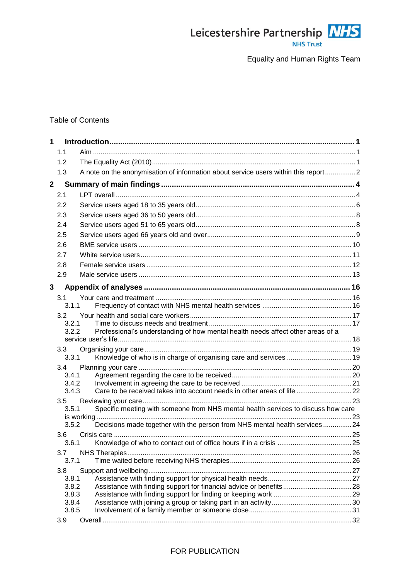

### Table of Contents

| 1            |                |                                                                                    |  |
|--------------|----------------|------------------------------------------------------------------------------------|--|
|              | 1.1            |                                                                                    |  |
|              | 1.2            |                                                                                    |  |
|              | 1.3            | A note on the anonymisation of information about service users within this report2 |  |
| $\mathbf{2}$ |                |                                                                                    |  |
|              | 2.1            |                                                                                    |  |
|              | 2.2            |                                                                                    |  |
|              | 2.3            |                                                                                    |  |
|              | 2.4            |                                                                                    |  |
|              | 2.5            |                                                                                    |  |
|              | 2.6            |                                                                                    |  |
|              | 2.7            |                                                                                    |  |
|              |                |                                                                                    |  |
|              | 2.8            |                                                                                    |  |
|              | 2.9            |                                                                                    |  |
| 3            |                |                                                                                    |  |
|              | 3.1            |                                                                                    |  |
|              | 3.1.1          |                                                                                    |  |
|              | 3.2            |                                                                                    |  |
|              | 3.2.1          |                                                                                    |  |
|              | 3.2.2          | Professional's understanding of how mental health needs affect other areas of a    |  |
|              |                |                                                                                    |  |
|              | 3.3<br>3.3.1   | Knowledge of who is in charge of organising care and services  19                  |  |
|              | $3.4^{\circ}$  |                                                                                    |  |
|              | 3.4.1          |                                                                                    |  |
|              | 3.4.2          |                                                                                    |  |
|              | 3.4.3          | Care to be received takes into account needs in other areas of life 22             |  |
|              | 3.5            |                                                                                    |  |
|              | 3.5.1          | Specific meeting with someone from NHS mental health services to discuss how care  |  |
|              |                |                                                                                    |  |
|              | 3.5.2          | Decisions made together with the person from NHS mental health services24          |  |
|              | 3.6            |                                                                                    |  |
|              | 3.6.1          |                                                                                    |  |
|              | 3.7            |                                                                                    |  |
|              | 3.7.1          |                                                                                    |  |
|              | 3.8            |                                                                                    |  |
|              | 3.8.1<br>3.8.2 | Assistance with finding support for financial advice or benefits 28                |  |
|              | 3.8.3          |                                                                                    |  |
|              | 3.8.4          |                                                                                    |  |
|              | 3.8.5          |                                                                                    |  |
|              | 3.9            |                                                                                    |  |

#### FOR PUBLICATION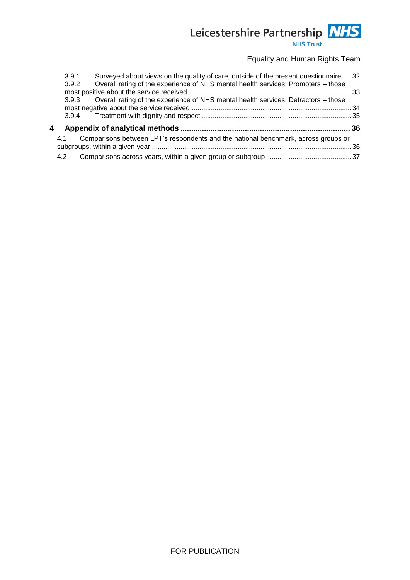### Leicestershire Partnership NHS **NHS Trust**

Equality and Human Rights Team

|   | 3.9.1 | Surveyed about views on the quality of care, outside of the present questionnaire32      |  |
|---|-------|------------------------------------------------------------------------------------------|--|
|   | 3.9.2 | Overall rating of the experience of NHS mental health services: Promoters - those        |  |
|   |       |                                                                                          |  |
|   |       | 3.9.3 Overall rating of the experience of NHS mental health services: Detractors - those |  |
|   |       |                                                                                          |  |
|   |       |                                                                                          |  |
| 4 |       |                                                                                          |  |
|   | 4.1   | Comparisons between LPT's respondents and the national benchmark, across groups or       |  |
|   |       |                                                                                          |  |
|   | 4.2   |                                                                                          |  |
|   |       |                                                                                          |  |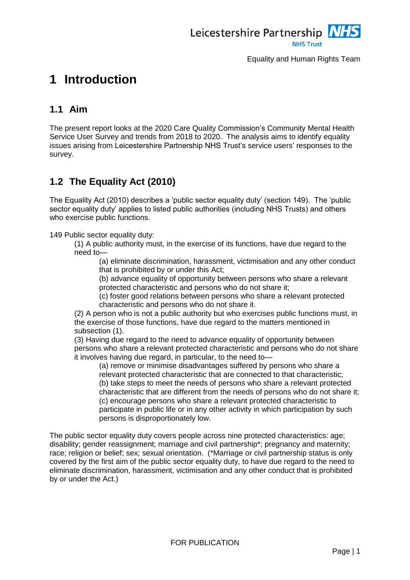

## <span id="page-3-0"></span>**1 Introduction**

### <span id="page-3-1"></span>**1.1 Aim**

The present report looks at the 2020 Care Quality Commission's Community Mental Health Service User Survey and trends from 2018 to 2020. The analysis aims to identify equality issues arising from Leicestershire Partnership NHS Trust's service users' responses to the survey.

### <span id="page-3-2"></span>**1.2 The Equality Act (2010)**

The Equality Act (2010) describes a 'public sector equality duty' (section 149). The 'public sector equality duty' applies to listed public authorities (including NHS Trusts) and others who exercise public functions.

149 Public sector equality duty:

(1) A public authority must, in the exercise of its functions, have due regard to the need to—

(a) eliminate discrimination, harassment, victimisation and any other conduct that is prohibited by or under this Act;

(b) advance equality of opportunity between persons who share a relevant protected characteristic and persons who do not share it;

(c) foster good relations between persons who share a relevant protected characteristic and persons who do not share it.

(2) A person who is not a public authority but who exercises public functions must, in the exercise of those functions, have due regard to the matters mentioned in subsection (1).

(3) Having due regard to the need to advance equality of opportunity between persons who share a relevant protected characteristic and persons who do not share it involves having due regard, in particular, to the need to—

(a) remove or minimise disadvantages suffered by persons who share a relevant protected characteristic that are connected to that characteristic; (b) take steps to meet the needs of persons who share a relevant protected characteristic that are different from the needs of persons who do not share it; (c) encourage persons who share a relevant protected characteristic to participate in public life or in any other activity in which participation by such persons is disproportionately low.

The public sector equality duty covers people across nine protected characteristics: age; disability; gender reassignment; marriage and civil partnership\*; pregnancy and maternity; race; religion or belief; sex; sexual orientation. (\*Marriage or civil partnership status is only covered by the first aim of the public sector equality duty, to have due regard to the need to eliminate discrimination, harassment, victimisation and any other conduct that is prohibited by or under the Act.)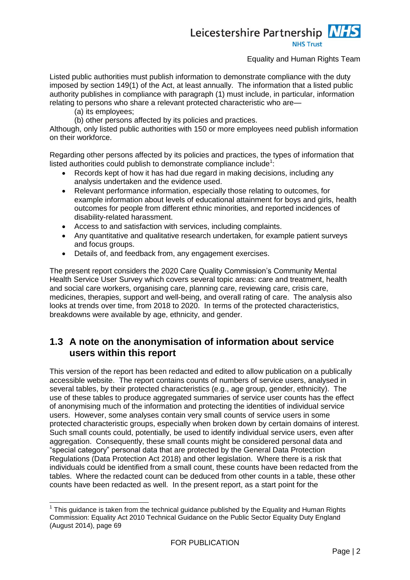### Leicestershire Partnership NHS **NHS Trust**

#### Equality and Human Rights Team

Listed public authorities must publish information to demonstrate compliance with the duty imposed by section 149(1) of the Act, at least annually. The information that a listed public authority publishes in compliance with paragraph (1) must include, in particular, information relating to persons who share a relevant protected characteristic who are—

(a) its employees;

-

(b) other persons affected by its policies and practices.

Although, only listed public authorities with 150 or more employees need publish information on their workforce.

Regarding other persons affected by its policies and practices, the types of information that listed authorities could publish to demonstrate compliance include<sup>1</sup>:

- Records kept of how it has had due regard in making decisions, including any analysis undertaken and the evidence used.
- Relevant performance information, especially those relating to outcomes, for example information about levels of educational attainment for boys and girls, health outcomes for people from different ethnic minorities, and reported incidences of disability-related harassment.
- Access to and satisfaction with services, including complaints.
- Any quantitative and qualitative research undertaken, for example patient surveys and focus groups.
- Details of, and feedback from, any engagement exercises.

The present report considers the 2020 Care Quality Commission's Community Mental Health Service User Survey which covers several topic areas: care and treatment, health and social care workers, organising care, planning care, reviewing care, crisis care, medicines, therapies, support and well-being, and overall rating of care. The analysis also looks at trends over time, from 2018 to 2020. In terms of the protected characteristics, breakdowns were available by age, ethnicity, and gender.

### <span id="page-4-0"></span>**1.3 A note on the anonymisation of information about service users within this report**

This version of the report has been redacted and edited to allow publication on a publically accessible website. The report contains counts of numbers of service users, analysed in several tables, by their protected characteristics (e.g., age group, gender, ethnicity). The use of these tables to produce aggregated summaries of service user counts has the effect of anonymising much of the information and protecting the identities of individual service users. However, some analyses contain very small counts of service users in some protected characteristic groups, especially when broken down by certain domains of interest. Such small counts could, potentially, be used to identify individual service users, even after aggregation. Consequently, these small counts might be considered personal data and "special category" personal data that are protected by the General Data Protection Regulations (Data Protection Act 2018) and other legislation. Where there is a risk that individuals could be identified from a small count, these counts have been redacted from the tables. Where the redacted count can be deduced from other counts in a table, these other counts have been redacted as well. In the present report, as a start point for the

 $1$  This guidance is taken from the technical guidance published by the Equality and Human Rights Commission: Equality Act 2010 Technical Guidance on the Public Sector Equality Duty England (August 2014), page 69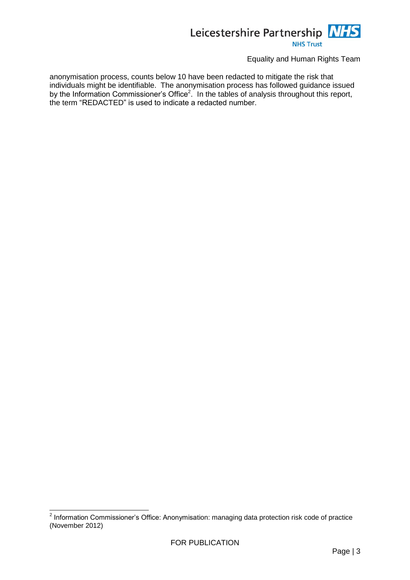

anonymisation process, counts below 10 have been redacted to mitigate the risk that individuals might be identifiable. The anonymisation process has followed guidance issued by the Information Commissioner's Office<sup>2</sup>. In the tables of analysis throughout this report, the term "REDACTED" is used to indicate a redacted number.

 2 Information Commissioner's Office: Anonymisation: managing data protection risk code of practice (November 2012)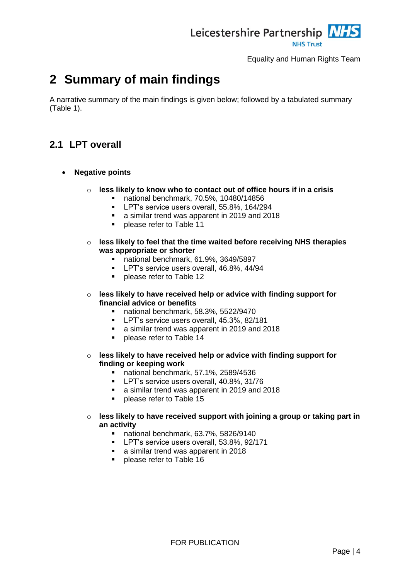

## <span id="page-6-0"></span>**2 Summary of main findings**

A narrative summary of the main findings is given below; followed by a tabulated summary [\(Table 1\)](#page-16-0).

### <span id="page-6-1"></span>**2.1 LPT overall**

- **Negative points**
	- o **less likely to know who to contact out of office hours if in a crisis**
		- national benchmark, 70.5%, 10480/14856
		- **LPT's service users overall, 55.8%, 164/294**
		- a similar trend was apparent in 2019 and 2018
		- **Parable 11** please refer to [Table 11](#page-27-2)
	- o **less likely to feel that the time waited before receiving NHS therapies was appropriate or shorter**
		- national benchmark, 61.9%, 3649/5897
		- **LPT's service users overall, 46.8%, 44/94**
		- **Parage 2** please refer to [Table 12](#page-28-2)
	- o **less likely to have received help or advice with finding support for financial advice or benefits**
		- national benchmark, 58.3%, 5522/9470
		- **LPT's service users overall, 45.3%, 82/181**
		- a similar trend was apparent in 2019 and 2018
		- **Parage refer to [Table 14](#page-30-1)**
	- o **less likely to have received help or advice with finding support for finding or keeping work**
		- national benchmark, 57.1%, 2589/4536
		- **LPT's service users overall, 40.8%, 31/76**
		- a similar trend was apparent in 2019 and 2018
		- **Parage 2** please refer to [Table 15](#page-31-1)
	- o **less likely to have received support with joining a group or taking part in an activity**
		- national benchmark, 63.7%, 5826/9140
		- **LPT's service users overall, 53.8%, 92/171**
		- a similar trend was apparent in 2018
		- **Produced Prefer to [Table 16](#page-32-1)**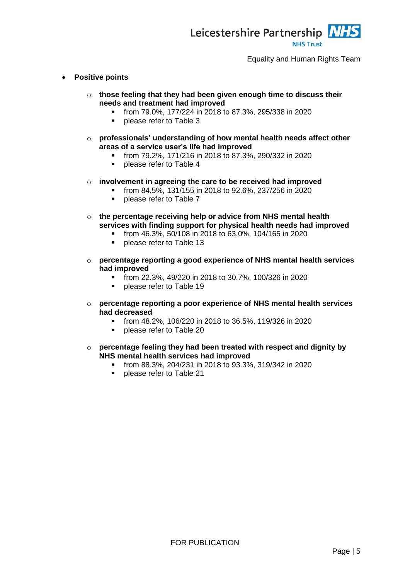

- **Positive points**
	- o **those feeling that they had been given enough time to discuss their needs and treatment had improved**
		- from 79.0%, 177/224 in 2018 to 87.3%, 295/338 in 2020
		- **•** please refer to [Table 3](#page-19-2)
	- o **professionals' understanding of how mental health needs affect other areas of a service user's life had improved**
		- from 79.2%, 171/216 in 2018 to 87.3%, 290/332 in 2020
		- **•** please refer to [Table 4](#page-20-1)
	- o **involvement in agreeing the care to be received had improved**
		- from 84.5%, 131/155 in 2018 to 92.6%, 237/256 in 2020
		- please refer to [Table 7](#page-23-1)
	- o **the percentage receiving help or advice from NHS mental health services with finding support for physical health needs had improved**
		- from 46.3%, 50/108 in 2018 to 63.0%, 104/165 in 2020
		- **•** please refer to [Table 13](#page-29-2)
	- o **percentage reporting a good experience of NHS mental health services had improved**
		- from 22.3%, 49/220 in 2018 to 30.7%, 100/326 in 2020
		- **•** please refer to [Table 19](#page-35-1)
	- o **percentage reporting a poor experience of NHS mental health services had decreased**
		- from 48.2%, 106/220 in 2018 to 36.5%, 119/326 in 2020
		- **•** please refer to [Table 20](#page-36-1)
	- o **percentage feeling they had been treated with respect and dignity by NHS mental health services had improved**
		- from 88.3%, 204/231 in 2018 to 93.3%, 319/342 in 2020
		- **•** please refer to [Table 21](#page-37-1)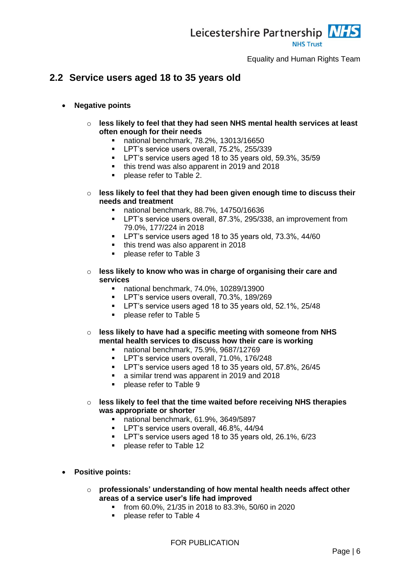

### <span id="page-8-0"></span>**2.2 Service users aged 18 to 35 years old**

#### **Negative points**

- o **less likely to feel that they had seen NHS mental health services at least often enough for their needs**
	- national benchmark, 78.2%, 13013/16650
	- **LPT's service users overall, 75.2%, 255/339**
	- **LPT's service users aged 18 to 35 years old, 59.3%, 35/59**
	- this trend was also apparent in 2019 and 2018
	- **•** please refer to [Table 2.](#page-18-3)
- o **less likely to feel that they had been given enough time to discuss their needs and treatment**
	- national benchmark, 88.7%, 14750/16636
	- **-** LPT's service users overall, 87.3%, 295/338, an improvement from 79.0%, 177/224 in 2018
	- **-** LPT's service users aged 18 to 35 years old, 73.3%, 44/60
	- this trend was also apparent in 2018
	- **Parage refer to [Table 3](#page-19-2)**
- o **less likely to know who was in charge of organising their care and services**
	- national benchmark, 74.0%, 10289/13900
	- **LPT's service users overall, 70.3%, 189/269**
	- **LPT's service users aged 18 to 35 years old, 52.1%, 25/48**
	- **Parage 2** please refer to [Table 5](#page-21-2)
- o **less likely to have had a specific meeting with someone from NHS mental health services to discuss how their care is working**
	- national benchmark, 75.9%, 9687/12769
	- **LPT's service users overall, 71.0%, 176/248**
	- LPT's service users aged 18 to 35 years old, 57.8%, 26/45
	- a similar trend was apparent in 2019 and 2018
	- **•** please refer to [Table 9](#page-25-2)
- o **less likely to feel that the time waited before receiving NHS therapies was appropriate or shorter**
	- national benchmark, 61.9%, 3649/5897
	- **LPT's service users overall, 46.8%, 44/94**
	- **LPT's service users aged 18 to 35 years old, 26.1%, 6/23**
	- **•** please refer to [Table 12](#page-28-2)
- **Positive points:**
	- o **professionals' understanding of how mental health needs affect other areas of a service user's life had improved**
		- from 60.0%, 21/35 in 2018 to 83.3%, 50/60 in 2020
		- **Proplease refer to [Table 4](#page-20-1)**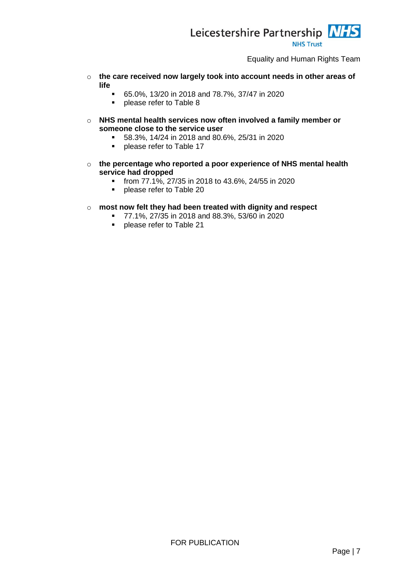

- o **the care received now largely took into account needs in other areas of life**
	- 65.0%, 13/20 in 2018 and 78.7%, 37/47 in 2020
	- **Propelling Propelling S**
- o **NHS mental health services now often involved a family member or someone close to the service user**
	- 58.3%, 14/24 in 2018 and 80.6%, 25/31 in 2020
	- **Parable 17** please refer to [Table 17](#page-33-1)
- o **the percentage who reported a poor experience of NHS mental health service had dropped**
	- from 77.1%, 27/35 in 2018 to 43.6%, 24/55 in 2020
	- **•** please refer to [Table 20](#page-36-1)
- o **most now felt they had been treated with dignity and respect**
	- $\overline{77.1\%}$ , 27/35 in 2018 and 88.3%, 53/60 in 2020
	- **•** please refer to [Table 21](#page-37-1)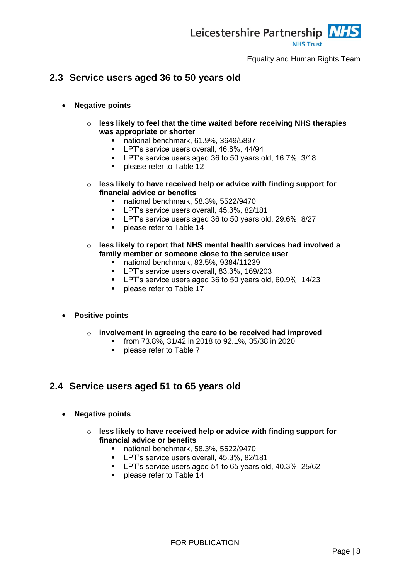

### <span id="page-10-0"></span>**2.3 Service users aged 36 to 50 years old**

- **Negative points**
	- o **less likely to feel that the time waited before receiving NHS therapies was appropriate or shorter**
		- national benchmark, 61.9%, 3649/5897
		- **LPT's service users overall, 46.8%, 44/94**
		- LPT's service users aged 36 to 50 years old, 16.7%, 3/18
		- **•** please refer to [Table 12](#page-28-2)
	- o **less likely to have received help or advice with finding support for financial advice or benefits**
		- national benchmark, 58.3%, 5522/9470
		- **LPT's service users overall, 45.3%, 82/181**
		- **LPT's service users aged 36 to 50 years old, 29.6%, 8/27**
		- **Parage 2** please refer to [Table 14](#page-30-1)
	- o **less likely to report that NHS mental health services had involved a family member or someone close to the service user**
		- national benchmark, 83.5%, 9384/11239
		- **LPT's service users overall, 83.3%, 169/203**
		- LPT's service users aged 36 to 50 years old, 60.9%, 14/23
		- **Parage 2** please refer to [Table 17](#page-33-1)

#### **Positive points**

- o **involvement in agreeing the care to be received had improved**
	- from 73.8%, 31/42 in 2018 to 92.1%, 35/38 in 2020
	- **Proplease refer to [Table 7](#page-23-1)**

### <span id="page-10-1"></span>**2.4 Service users aged 51 to 65 years old**

- **Negative points**
	- o **less likely to have received help or advice with finding support for financial advice or benefits**
		- national benchmark, 58.3%, 5522/9470
		- **LPT's service users overall, 45.3%, 82/181**
		- **LPT's service users aged 51 to 65 years old, 40.3%, 25/62**
		- **Parable 14** please refer to [Table 14](#page-30-1)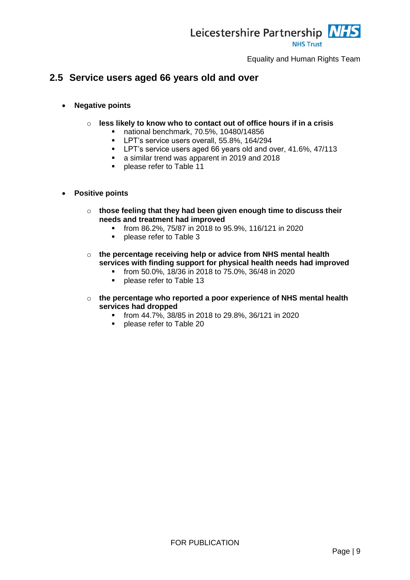

### <span id="page-11-0"></span>**2.5 Service users aged 66 years old and over**

- **Negative points**
	- o **less likely to know who to contact out of office hours if in a crisis**
		- national benchmark, 70.5%, 10480/14856
		- **LPT's service users overall, 55.8%, 164/294**
		- **-** LPT's service users aged 66 years old and over, 41.6%, 47/113
		- a similar trend was apparent in 2019 and 2018
		- **Parable 11** please refer to [Table 11](#page-27-2)
- **Positive points**
	- o **those feeling that they had been given enough time to discuss their needs and treatment had improved**
		- from 86.2%, 75/87 in 2018 to 95.9%, 116/121 in 2020
		- **•** please refer to [Table 3](#page-19-2)
	- o **the percentage receiving help or advice from NHS mental health services with finding support for physical health needs had improved**
		- from 50.0%, 18/36 in 2018 to 75.0%, 36/48 in 2020
		- **•** please refer to [Table 13](#page-29-2)
	- o **the percentage who reported a poor experience of NHS mental health services had dropped**
		- from 44.7%, 38/85 in 2018 to 29.8%, 36/121 in 2020
		- **•** please refer to [Table 20](#page-36-1)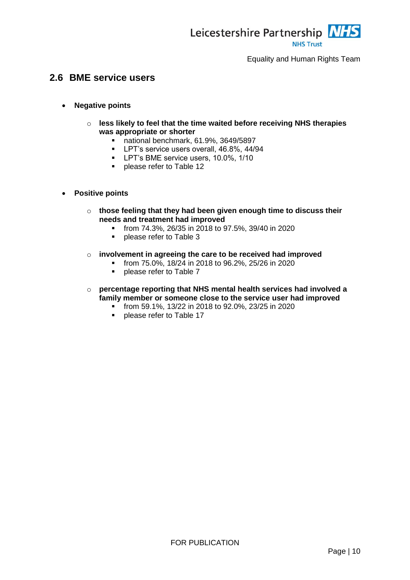

### <span id="page-12-0"></span>**2.6 BME service users**

- **Negative points**
	- o **less likely to feel that the time waited before receiving NHS therapies was appropriate or shorter**
		- national benchmark, 61.9%, 3649/5897
		- **LPT's service users overall, 46.8%, 44/94**
		- **LPT's BME service users, 10.0%, 1/10**
		- **•** please refer to [Table 12](#page-28-2)
- **Positive points**
	- o **those feeling that they had been given enough time to discuss their needs and treatment had improved**
		- from 74.3%, 26/35 in 2018 to 97.5%, 39/40 in 2020
		- **•** please refer to [Table 3](#page-19-2)
	- o **involvement in agreeing the care to be received had improved**
		- $\blacksquare$  from 75.0%, 18/24 in 2018 to 96.2%, 25/26 in 2020
		- **Produced Produce 7 please refer to [Table 7](#page-23-1)**
	- o **percentage reporting that NHS mental health services had involved a family member or someone close to the service user had improved**
		- from 59.1%, 13/22 in 2018 to 92.0%, 23/25 in 2020
		- **•** please refer to [Table 17](#page-33-1)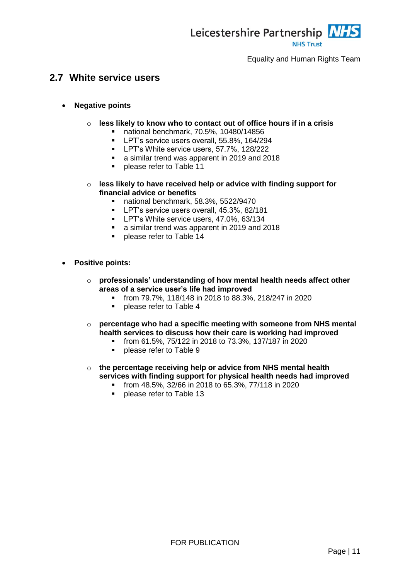

### <span id="page-13-0"></span>**2.7 White service users**

- **Negative points**
	- o **less likely to know who to contact out of office hours if in a crisis**
		- national benchmark, 70.5%, 10480/14856
		- **LPT's service users overall, 55.8%, 164/294**
		- **LPT's White service users, 57.7%, 128/222**
		- a similar trend was apparent in 2019 and 2018
		- **Proplease refer to [Table 11](#page-27-2)**
	- o **less likely to have received help or advice with finding support for financial advice or benefits**
		- national benchmark, 58.3%, 5522/9470
		- **LPT's service users overall, 45.3%, 82/181**
		- **LPT's White service users, 47.0%, 63/134**
		- a similar trend was apparent in 2019 and 2018
		- **Parable 14** please refer to [Table 14](#page-30-1)
- **Positive points:**
	- o **professionals' understanding of how mental health needs affect other areas of a service user's life had improved**
		- from 79.7%, 118/148 in 2018 to 88.3%, 218/247 in 2020
		- **Proplease refer to [Table 4](#page-20-1)**
	- o **percentage who had a specific meeting with someone from NHS mental health services to discuss how their care is working had improved**
		- from 61.5%, 75/122 in 2018 to 73.3%, 137/187 in 2020
		- **•** please refer to [Table 9](#page-25-2)
	- o **the percentage receiving help or advice from NHS mental health services with finding support for physical health needs had improved**
		- from 48.5%, 32/66 in 2018 to 65.3%, 77/118 in 2020
		- **•** please refer to [Table 13](#page-29-2)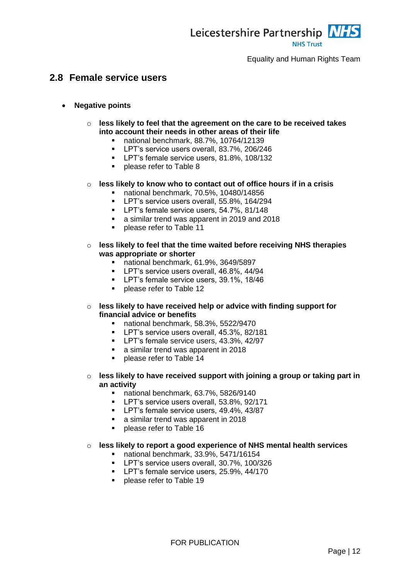

### <span id="page-14-0"></span>**2.8 Female service users**

- **Negative points**
	- o **less likely to feel that the agreement on the care to be received takes into account their needs in other areas of their life**
		- national benchmark, 88.7%, 10764/12139
			- **LPT's service users overall, 83.7%, 206/246**
			- **LPT's female service users, 81.8%, 108/132**
			- **Propelling Propelling S**
	- o **less likely to know who to contact out of office hours if in a crisis**
		- national benchmark, 70.5%, 10480/14856
		- **LPT's service users overall, 55.8%, 164/294**
		- **LPT's female service users, 54.7%, 81/148**
		- a similar trend was apparent in 2019 and 2018
		- **Parage 2** please refer to [Table 11](#page-27-2)
	- o **less likely to feel that the time waited before receiving NHS therapies was appropriate or shorter**
		- national benchmark, 61.9%, 3649/5897
		- **LPT's service users overall, 46.8%, 44/94**
		- **LPT's female service users, 39.1%, 18/46**
		- **Parage 2** please refer to [Table 12](#page-28-2)
	- o **less likely to have received help or advice with finding support for financial advice or benefits**
		- national benchmark, 58.3%, 5522/9470
		- **LPT's service users overall, 45.3%, 82/181**
		- **LPT's female service users, 43.3%, 42/97**
		- a similar trend was apparent in 2018
		- **Please refer to [Table 14](#page-30-1)**
	- o **less likely to have received support with joining a group or taking part in an activity**
		- national benchmark, 63.7%, 5826/9140
		- **LPT's service users overall, 53.8%, 92/171**
		- **LPT's female service users, 49.4%, 43/87**
		- a similar trend was apparent in 2018
		- **Parage refer to [Table 16](#page-32-1)**

#### o **less likely to report a good experience of NHS mental health services**

- national benchmark, 33.9%, 5471/16154
- **LPT's service users overall, 30.7%, 100/326**
- **LPT's female service users, 25.9%, 44/170**
- **Parage 2** please refer to [Table 19](#page-35-1)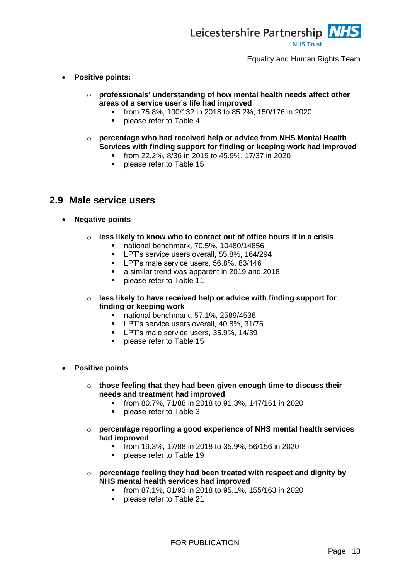

- **Positive points:**
	- o **professionals' understanding of how mental health needs affect other areas of a service user's life had improved**
		- from 75.8%, 100/132 in 2018 to 85.2%, 150/176 in 2020
		- **Propelling Propelling Space 4**
	- o **percentage who had received help or advice from NHS Mental Health Services with finding support for finding or keeping work had improved**
		- $\blacksquare$  from 22.2%, 8/36 in 2019 to 45.9%, 17/37 in 2020
		- **•** please refer to [Table 15](#page-31-1)

### <span id="page-15-0"></span>**2.9 Male service users**

- **Negative points**
	- o **less likely to know who to contact out of office hours if in a crisis**
		- national benchmark, 70.5%, 10480/14856
		- **LPT's service users overall, 55.8%, 164/294**
		- **LPT's male service users, 56.8%, 83/146**
		- a similar trend was apparent in 2019 and 2018
		- **Please refer to [Table 11](#page-27-2)**
	- o **less likely to have received help or advice with finding support for finding or keeping work**
		- national benchmark, 57.1%, 2589/4536
		- **LPT's service users overall, 40.8%, 31/76**
		- **LPT's male service users, 35.9%, 14/39**
		- **•** please refer to [Table 15](#page-31-1)
- **Positive points**
	- o **those feeling that they had been given enough time to discuss their needs and treatment had improved**
		- from 80.7%, 71/88 in 2018 to 91.3%, 147/161 in 2020
		- **Please refer to [Table 3](#page-19-2)**
	- o **percentage reporting a good experience of NHS mental health services had improved**
		- from 19.3%, 17/88 in 2018 to 35.9%, 56/156 in 2020
		- **Parage 2** please refer to [Table 19](#page-35-1)
	- o **percentage feeling they had been treated with respect and dignity by NHS mental health services had improved**
		- from 87.1%, 81/93 in 2018 to 95.1%, 155/163 in 2020
		- **•** please refer to [Table 21](#page-37-1)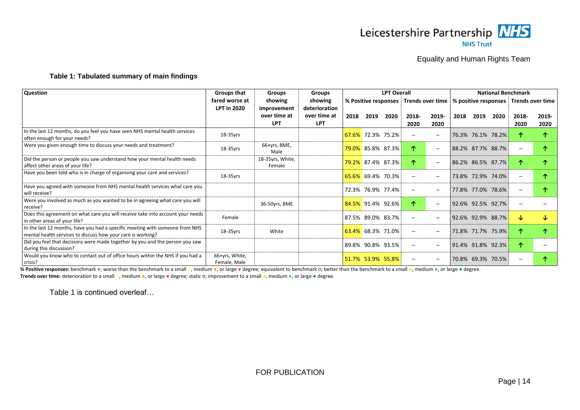

#### <span id="page-16-1"></span>**Table 1: Tabulated summary of main findings**

| <b>Question</b>                                                                                                                             | <b>Groups that</b>             | <b>Groups</b>                             | <b>Groups</b>                               | <b>LPT Overall</b>   |                          |      |               |                          | <b>National Benchmark</b>                                  |                   |      |               |               |
|---------------------------------------------------------------------------------------------------------------------------------------------|--------------------------------|-------------------------------------------|---------------------------------------------|----------------------|--------------------------|------|---------------|--------------------------|------------------------------------------------------------|-------------------|------|---------------|---------------|
|                                                                                                                                             | fared worse at                 | showing                                   | showing                                     | % Positive responses |                          |      |               |                          | Trends over time   % positive responses   Trends over time |                   |      |               |               |
|                                                                                                                                             | <b>LPT in 2020</b>             | improvement<br>over time at<br><b>LPT</b> | deterioration<br>over time at<br><b>LPT</b> | 2018                 | 2019                     | 2020 | 2018-<br>2020 | 2019-<br>2020            | 2018                                                       | 2019              | 2020 | 2018-<br>2020 | 2019-<br>2020 |
| In the last 12 months, do you feel you have seen NHS mental health services<br>often enough for your needs?                                 | 18-35yrs                       |                                           |                                             |                      | 67.6% 72.3% 75.2%        |      |               | $\overline{\phantom{0}}$ |                                                            | 76.3% 76.1% 78.2% |      |               |               |
| Were you given enough time to discuss your needs and treatment?                                                                             | 18-35yrs                       | 66+yrs, BME,<br>Male                      |                                             |                      | 79.0% 85.8% 87.3%        |      | ↑             | $\overline{\phantom{m}}$ |                                                            | 88.2% 87.7% 88.7% |      |               |               |
| Did the person or people you saw understand how your mental health needs<br>affect other areas of your life?                                |                                | 18-35yrs, White,<br>Female                |                                             |                      | <b>79.2% 87.4% 87.3%</b> |      | ↑             | $\overline{\phantom{0}}$ |                                                            | 86.2% 86.5% 87.7% |      |               |               |
| Have you been told who is in charge of organising your care and services?                                                                   | $18-35$ yrs                    |                                           |                                             |                      | 65.6% 69.4% 70.3%        |      |               |                          |                                                            | 73.8% 72.9% 74.0% |      |               |               |
| Have you agreed with someone from NHS mental health services what care you<br>will receive?                                                 |                                |                                           |                                             |                      | 72.3% 76.9% 77.4%        |      |               |                          |                                                            | 77.8% 77.0% 78.6% |      |               |               |
| Were you involved as much as you wanted to be in agreeing what care you will<br>receive?                                                    |                                | 36-50yrs, BME                             |                                             |                      | 84.5% 91.4% 92.6%        |      | ↑             | $\overline{\phantom{m}}$ |                                                            | 92.6% 92.5% 92.7% |      |               |               |
| Does this agreement on what care you will receive take into account your needs<br>in other areas of your life?                              | Female                         |                                           |                                             |                      | 87.5% 89.0% 83.7%        |      |               |                          |                                                            | 92.6% 92.9% 88.7% |      | ◡             |               |
| In the last 12 months, have you had a specific meeting with someone from NHS<br>mental health services to discuss how your care is working? | 18-35yrs                       | White                                     |                                             |                      | 63.4% 68.3% 71.0%        |      |               | $\overline{\phantom{0}}$ |                                                            | 71.8% 71.7% 75.9% |      |               |               |
| Did you feel that decisions were made together by you and the person you saw<br>during this discussion?                                     |                                |                                           |                                             |                      | 89.8% 90.8% 93.5%        |      |               | $\overline{\phantom{0}}$ |                                                            | 91.4% 91.8% 92.3% |      | 不             |               |
| Would you know who to contact out of office hours within the NHS if you had a<br>crisis?                                                    | 66+yrs, White,<br>Female, Male |                                           |                                             |                      | 51.7% 53.9% 55.8%        |      |               |                          |                                                            | 70.8% 69.3% 70.5% |      |               |               |

<span id="page-16-0"></span>% Positive responses: benchmark ●; worse than the benchmark to a small ●, medium ●, or large ● degree; equivalent to benchmark o; better than the benchmark to a small ●, medium ●, or large ● degree. **Trends over time:** deterioration to a small ●, medium ●, or large ● degree; static ○; improvement to a small ●, medium ●, or large ● degree.

[Table 1](#page-16-1) is continued overleaf…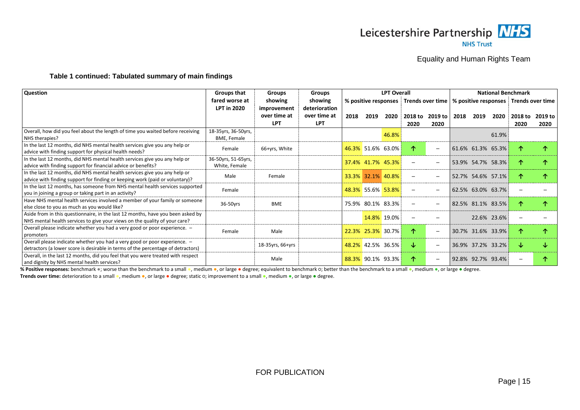

#### **[Table 1](#page-16-1) continued: Tabulated summary of main findings**

| Question                                                                         | Groups that         | <b>Groups</b>    | Groups        |                      |                   | <b>LPT Overall</b> |         |                                         | <b>National Benchmark</b> |                         |                   |         |         |
|----------------------------------------------------------------------------------|---------------------|------------------|---------------|----------------------|-------------------|--------------------|---------|-----------------------------------------|---------------------------|-------------------------|-------------------|---------|---------|
|                                                                                  | fared worse at      | showing          | showing       | % positive responses |                   |                    |         | Trends over time   % positive responses |                           | <b>Trends over time</b> |                   |         |         |
|                                                                                  | <b>LPT in 2020</b>  | improvement      | deterioration |                      |                   |                    |         |                                         |                           |                         |                   |         |         |
|                                                                                  |                     | over time at     | over time at  | 2018                 | 2019              | 2020               | 2018 to | 2019 to                                 | 2018                      | 2019                    | 2020              | 2018 to | 2019 to |
|                                                                                  |                     | <b>LPT</b>       | <b>LPT</b>    |                      |                   |                    | 2020    | 2020                                    |                           |                         |                   | 2020    | 2020    |
| Overall, how did you feel about the length of time you waited before receiving   | 18-35yrs, 36-50yrs, |                  |               |                      |                   | 46.8%              |         |                                         |                           |                         | 61.9%             |         |         |
| NHS therapies?                                                                   | BME, Female         |                  |               |                      |                   |                    |         |                                         |                           |                         |                   |         |         |
| In the last 12 months, did NHS mental health services give you any help or       | Female              | 66+yrs, White    |               |                      | 46.3% 51.6% 63.0% |                    | ↑       | $\overline{\phantom{0}}$                |                           |                         | 61.6% 61.3% 65.3% | ᠰ       |         |
| advice with finding support for physical health needs?                           |                     |                  |               |                      |                   |                    |         |                                         |                           |                         |                   |         |         |
| In the last 12 months, did NHS mental health services give you any help or       | 36-50yrs, 51-65yrs, |                  |               |                      | 37.4% 41.7% 45.3% |                    |         | $\overline{\phantom{0}}$                |                           |                         | 53.9% 54.7% 58.3% |         |         |
| advice with finding support for financial advice or benefits?                    | White. Female       |                  |               |                      |                   |                    |         |                                         |                           |                         |                   |         |         |
| In the last 12 months, did NHS mental health services give you any help or       | Male                | Female           |               |                      | 33.3% 32.1% 40.8% |                    |         |                                         |                           |                         | 52.7% 54.6% 57.1% |         |         |
| advice with finding support for finding or keeping work (paid or voluntary)?     |                     |                  |               |                      |                   |                    |         |                                         |                           |                         |                   |         |         |
| In the last 12 months, has someone from NHS mental health services supported     | Female              |                  |               |                      | 48.3% 55.6% 53.8% |                    |         | $\overline{\phantom{0}}$                |                           | 62.5% 63.0% 63.7%       |                   |         |         |
| you in joining a group or taking part in an activity?                            |                     |                  |               |                      |                   |                    |         |                                         |                           |                         |                   |         |         |
| Have NHS mental health services involved a member of your family or someone      | 36-50yrs            | <b>BME</b>       |               |                      | 75.9% 80.1% 83.3% |                    |         |                                         |                           |                         | 82.5% 81.1% 83.5% |         |         |
| else close to you as much as you would like?                                     |                     |                  |               |                      |                   |                    |         |                                         |                           |                         |                   |         |         |
| Aside from in this questionnaire, in the last 12 months, have you been asked by  |                     |                  |               |                      |                   | 14.8% 19.0%        |         |                                         |                           |                         | 22.6% 23.6%       |         |         |
| NHS mental health services to give your views on the quality of your care?       |                     |                  |               |                      |                   |                    |         |                                         |                           |                         |                   |         |         |
| Overall please indicate whether you had a very good or poor experience. -        | Female              | Male             |               |                      | 22.3% 25.3% 30.7% |                    | 个       | $\overline{\phantom{m}}$                |                           |                         | 30.7% 31.6% 33.9% | ᠰ       |         |
| promoters                                                                        |                     |                  |               |                      |                   |                    |         |                                         |                           |                         |                   |         |         |
| Overall please indicate whether you had a very good or poor experience. -        |                     | 18-35yrs, 66+yrs |               |                      | 48.2% 42.5% 36.5% |                    | J       | $\overline{\phantom{m}}$                |                           |                         | 36.9% 37.2% 33.2% |         |         |
| detractors (a lower score is desirable in terms of the percentage of detractors) |                     |                  |               |                      |                   |                    |         |                                         |                           |                         |                   |         |         |
| Overall, in the last 12 months, did you feel that you were treated with respect  |                     | Male             |               |                      | 88.3% 90.1% 93.3% |                    | ↑       | $\overline{\phantom{m}}$                |                           |                         | 92.8% 92.7% 93.4% |         |         |
| and dignity by NHS mental health services?                                       |                     |                  |               |                      |                   |                    |         |                                         |                           |                         |                   |         |         |

% Positive responses: benchmark ●; worse than the benchmark to a small ●, medium ●, or large ● degree; equivalent to benchmark o; better than the benchmark to a small ●, medium ●, or large ● degree. **Trends over time:** deterioration to a small ●, medium ●, or large ● degree; static ○; improvement to a small ●, medium ●, or large ● degree.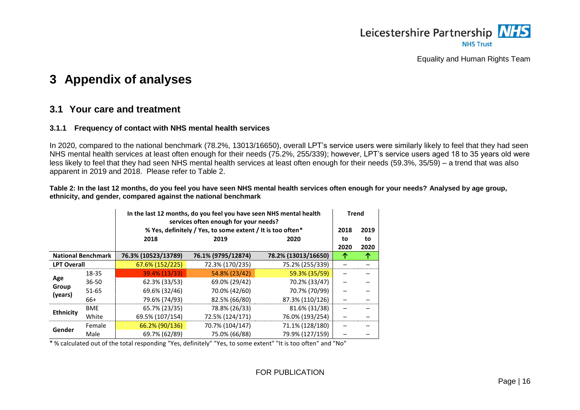

## **3 Appendix of analyses**

### **3.1 Your care and treatment**

#### **3.1.1 Frequency of contact with NHS mental health services**

In 2020, compared to the national benchmark (78.2%, 13013/16650), overall LPT's service users were similarly likely to feel that they had seen NHS mental health services at least often enough for their needs (75.2%, 255/339); however, LPT's service users aged 18 to 35 years old were less likely to feel that they had seen NHS mental health services at least often enough for their needs (59.3%, 35/59) – a trend that was also apparent in 2019 and 2018. Please refer to [Table 2.](#page-18-4)

<span id="page-18-4"></span>**Table 2: In the last 12 months, do you feel you have seen NHS mental health services often enough for your needs? Analysed by age group, ethnicity, and gender, compared against the national benchmark**

<span id="page-18-1"></span><span id="page-18-0"></span>

|                    |                           | In the last 12 months, do you feel you have seen NHS mental health<br>services often enough for your needs? |                                                            |                     |           |           |  |
|--------------------|---------------------------|-------------------------------------------------------------------------------------------------------------|------------------------------------------------------------|---------------------|-----------|-----------|--|
|                    |                           |                                                                                                             | % Yes, definitely / Yes, to some extent / It is too often* |                     | 2018      | 2019      |  |
|                    | 2018<br>2019<br>2020      |                                                                                                             |                                                            |                     |           |           |  |
|                    | <b>National Benchmark</b> | 76.3% (10523/13789)                                                                                         | 76.1% (9795/12874)                                         | 78.2% (13013/16650) | 2020<br>↑ | 2020<br>↑ |  |
| <b>LPT Overall</b> |                           | 67.6% (152/225)                                                                                             | 72.3% (170/235)                                            | 75.2% (255/339)     |           |           |  |
|                    | 18-35                     | 39.4% (13/33)                                                                                               | 54.8% (23/42)                                              | 59.3% (35/59)       |           |           |  |
| Age                | $36 - 50$                 | 62.3% (33/53)                                                                                               | 69.0% (29/42)                                              | 70.2% (33/47)       |           |           |  |
| Group<br>(years)   | 51-65                     | 69.6% (32/46)                                                                                               | 70.0% (42/60)                                              | 70.7% (70/99)       |           |           |  |
|                    | 66+                       | 79.6% (74/93)                                                                                               | 82.5% (66/80)                                              | 87.3% (110/126)     |           |           |  |
|                    | <b>BME</b>                | 65.7% (23/35)                                                                                               | 78.8% (26/33)                                              | 81.6% (31/38)       |           |           |  |
| <b>Ethnicity</b>   | White                     | 69.5% (107/154)                                                                                             | 72.5% (124/171)                                            | 76.0% (193/254)     |           |           |  |
| Gender             | Female                    | 66.2% (90/136)                                                                                              | 70.7% (104/147)                                            | 71.1% (128/180)     |           |           |  |
|                    | Male                      | 69.7% (62/89)                                                                                               | 75.0% (66/88)                                              | 79.9% (127/159)     |           |           |  |

<span id="page-18-3"></span><span id="page-18-2"></span>\* % calculated out of the total responding "Yes, definitely" "Yes, to some extent" "It is too often" and "No"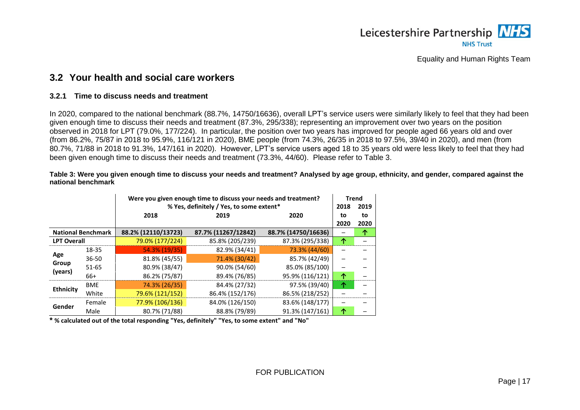

### **3.2 Your health and social care workers**

#### **3.2.1 Time to discuss needs and treatment**

In 2020, compared to the national benchmark (88.7%, 14750/16636), overall LPT's service users were similarly likely to feel that they had been given enough time to discuss their needs and treatment (87.3%, 295/338); representing an improvement over two years on the position observed in 2018 for LPT (79.0%, 177/224). In particular, the position over two years has improved for people aged 66 years old and over (from 86.2%, 75/87 in 2018 to 95.9%, 116/121 in 2020), BME people (from 74.3%, 26/35 in 2018 to 97.5%, 39/40 in 2020), and men (from 80.7%, 71/88 in 2018 to 91.3%, 147/161 in 2020). However, LPT's service users aged 18 to 35 years old were less likely to feel that they had been given enough time to discuss their needs and treatment (73.3%, 44/60). Please refer to [Table 3.](#page-19-3)

<span id="page-19-3"></span>**Table 3: Were you given enough time to discuss your needs and treatment? Analysed by age group, ethnicity, and gender, compared against the national benchmark**

<span id="page-19-0"></span>

|                    |                           |                     | Were you given enough time to discuss your needs and treatment?<br>% Yes, definitely / Yes, to some extent*<br>2018 |                     |            |            |  |  |  |
|--------------------|---------------------------|---------------------|---------------------------------------------------------------------------------------------------------------------|---------------------|------------|------------|--|--|--|
|                    |                           | 2018                | 2019                                                                                                                | 2020                | to<br>2020 | to<br>2020 |  |  |  |
|                    | <b>National Benchmark</b> | 88.2% (12110/13723) | 87.7% (11267/12842)                                                                                                 | 88.7% (14750/16636) |            | ↑          |  |  |  |
| <b>LPT Overall</b> |                           | 79.0% (177/224)     | 85.8% (205/239)                                                                                                     | 87.3% (295/338)     | 个          |            |  |  |  |
|                    | 18-35                     | 54.3% (19/35)       | 82.9% (34/41)                                                                                                       | 73.3% (44/60)       |            |            |  |  |  |
| Age<br>Group       | $36 - 50$                 | 81.8% (45/55)       | 71.4% (30/42)                                                                                                       | 85.7% (42/49)       | -          |            |  |  |  |
| (years)            | 51-65                     | 80.9% (38/47)       | 90.0% (54/60)                                                                                                       | 85.0% (85/100)      |            |            |  |  |  |
|                    | $66+$                     | 86.2% (75/87)       | 89.4% (76/85)                                                                                                       | 95.9% (116/121)     | 个          |            |  |  |  |
| <b>Ethnicity</b>   | <b>BME</b>                | 74.3% (26/35)       | 84.4% (27/32)                                                                                                       | 97.5% (39/40)       | 个          |            |  |  |  |
|                    | White                     | 79.6% (121/152)     | 86.4% (152/176)                                                                                                     | 86.5% (218/252)     |            |            |  |  |  |
| Gender             | Female                    | 77.9% (106/136)     | 84.0% (126/150)                                                                                                     | 83.6% (148/177)     |            |            |  |  |  |
|                    | Male                      | 80.7% (71/88)       | 88.8% (79/89)                                                                                                       | 91.3% (147/161)     | 个          |            |  |  |  |

<span id="page-19-2"></span><span id="page-19-1"></span>**\* % calculated out of the total responding "Yes, definitely" "Yes, to some extent" and "No"**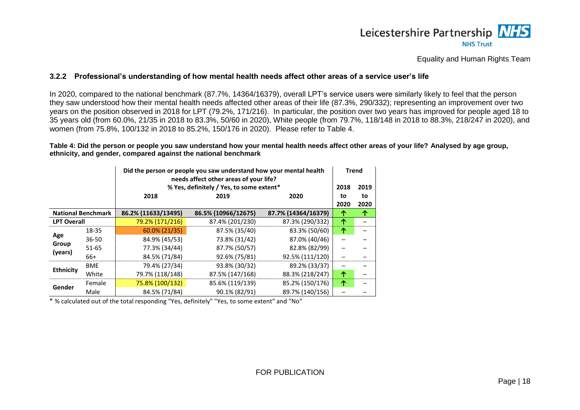### Leicestershire Partnership NHS **NHS Trust**

Equality and Human Rights Team

#### **3.2.2 Professional's understanding of how mental health needs affect other areas of a service user's life**

In 2020, compared to the national benchmark (87.7%, 14364/16379), overall LPT's service users were similarly likely to feel that the person they saw understood how their mental health needs affected other areas of their life (87.3%, 290/332); representing an improvement over two years on the position observed in 2018 for LPT (79.2%, 171/216). In particular, the position over two years has improved for people aged 18 to 35 years old (from 60.0%, 21/35 in 2018 to 83.3%, 50/60 in 2020), White people (from 79.7%, 118/148 in 2018 to 88.3%, 218/247 in 2020), and women (from 75.8%, 100/132 in 2018 to 85.2%, 150/176 in 2020). Please refer to [Table 4.](#page-20-2)

#### <span id="page-20-2"></span>**Table 4: Did the person or people you saw understand how your mental health needs affect other areas of your life? Analysed by age group, ethnicity, and gender, compared against the national benchmark**

| Did the person or people you saw understand how your mental health<br>needs affect other areas of your life? |                           |                     |                                          |                     | <b>Trend</b> |      |
|--------------------------------------------------------------------------------------------------------------|---------------------------|---------------------|------------------------------------------|---------------------|--------------|------|
|                                                                                                              |                           |                     | % Yes, definitely / Yes, to some extent* |                     | 2018         | 2019 |
|                                                                                                              |                           | 2018                | 2019                                     | 2020                | to           | to   |
|                                                                                                              |                           |                     |                                          |                     | 2020         | 2020 |
|                                                                                                              | <b>National Benchmark</b> | 86.2% (11633/13495) | 86.5% (10966/12675)                      | 87.7% (14364/16379) | ↑            | 个    |
| <b>LPT Overall</b>                                                                                           |                           | 79.2% (171/216)     | 87.4% (201/230)                          | 87.3% (290/332)     | 个            |      |
|                                                                                                              | 18-35                     | $60.0\% (21/35)$    | 87.5% (35/40)                            | 83.3% (50/60)       | 个            |      |
| Age                                                                                                          | $36 - 50$                 | 84.9% (45/53)       | 73.8% (31/42)                            | 87.0% (40/46)       |              |      |
| Group<br>(years)                                                                                             | $51 - 65$                 | 77.3% (34/44)       | 87.7% (50/57)                            | 82.8% (82/99)       |              |      |
|                                                                                                              | 66+                       | 84.5% (71/84)       | 92.6% (75/81)                            | 92.5% (111/120)     |              |      |
|                                                                                                              | <b>BME</b>                | 79.4% (27/34)       | 93.8% (30/32)                            | 89.2% (33/37)       |              |      |
| <b>Ethnicity</b>                                                                                             | White                     | 79.7% (118/148)     | 87.5% (147/168)                          | 88.3% (218/247)     | 个            |      |
| Gender                                                                                                       | Female                    | 75.8% (100/132)     | 85.6% (119/139)                          | 85.2% (150/176)     | 个            |      |
|                                                                                                              | Male                      | 84.5% (71/84)       | 90.1% (82/91)                            | 89.7% (140/156)     |              |      |

<span id="page-20-1"></span><span id="page-20-0"></span>\* % calculated out of the total responding "Yes, definitely" "Yes, to some extent" and "No"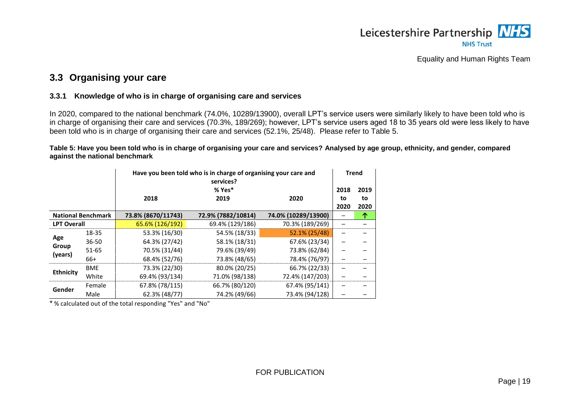

### **3.3 Organising your care**

#### **3.3.1 Knowledge of who is in charge of organising care and services**

In 2020, compared to the national benchmark (74.0%, 10289/13900), overall LPT's service users were similarly likely to have been told who is in charge of organising their care and services (70.3%, 189/269); however, LPT's service users aged 18 to 35 years old were less likely to have been told who is in charge of organising their care and services (52.1%, 25/48). Please refer to [Table 5.](#page-21-3)

<span id="page-21-3"></span>**Table 5: Have you been told who is in charge of organising your care and services? Analysed by age group, ethnicity, and gender, compared against the national benchmark**

|                    |                           |                    | Have you been told who is in charge of organising your care and<br>services?<br>% Yes* |                     |            |            |  |  |  |
|--------------------|---------------------------|--------------------|----------------------------------------------------------------------------------------|---------------------|------------|------------|--|--|--|
|                    |                           | 2018               | 2019                                                                                   | 2020                | 2018<br>to | 2019<br>to |  |  |  |
|                    | <b>National Benchmark</b> | 73.8% (8670/11743) | 72.9% (7882/10814)                                                                     | 74.0% (10289/13900) | 2020       | 2020<br>个  |  |  |  |
| <b>LPT Overall</b> |                           | 65.6% (126/192)    | 69.4% (129/186)                                                                        | 70.3% (189/269)     |            |            |  |  |  |
|                    | 18-35                     | 53.3% (16/30)      | 54.5% (18/33)                                                                          | 52.1% (25/48)       |            |            |  |  |  |
| Age                | $36 - 50$                 | 64.3% (27/42)      | 58.1% (18/31)                                                                          | 67.6% (23/34)       |            |            |  |  |  |
| Group              | 51-65                     | 70.5% (31/44)      | 79.6% (39/49)                                                                          | 73.8% (62/84)       |            |            |  |  |  |
| (years)            | 66+                       | 68.4% (52/76)      | 73.8% (48/65)                                                                          | 78.4% (76/97)       |            |            |  |  |  |
|                    | <b>BME</b>                | 73.3% (22/30)      | 80.0% (20/25)                                                                          | 66.7% (22/33)       |            |            |  |  |  |
| <b>Ethnicity</b>   | White                     | 69.4% (93/134)     | 71.0% (98/138)                                                                         | 72.4% (147/203)     |            |            |  |  |  |
|                    | Female                    | 67.8% (78/115)     | 66.7% (80/120)                                                                         | 67.4% (95/141)      |            |            |  |  |  |
| Gender             | Male                      | 62.3% (48/77)      | 74.2% (49/66)                                                                          | 73.4% (94/128)      |            |            |  |  |  |

<span id="page-21-2"></span><span id="page-21-1"></span><span id="page-21-0"></span>\* % calculated out of the total responding "Yes" and "No"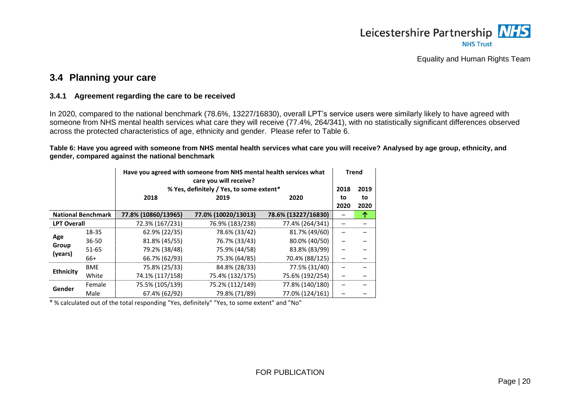

### **3.4 Planning your care**

#### **3.4.1 Agreement regarding the care to be received**

In 2020, compared to the national benchmark (78.6%, 13227/16830), overall LPT's service users were similarly likely to have agreed with someone from NHS mental health services what care they will receive (77.4%, 264/341), with no statistically significant differences observed across the protected characteristics of age, ethnicity and gender. Please refer to [Table 6.](#page-22-2)

<span id="page-22-2"></span>**Table 6: Have you agreed with someone from NHS mental health services what care you will receive? Analysed by age group, ethnicity, and gender, compared against the national benchmark**

| Have you agreed with someone from NHS mental health services what<br>care you will receive? |                           |                     |                                          |                     | <b>Trend</b> |      |
|---------------------------------------------------------------------------------------------|---------------------------|---------------------|------------------------------------------|---------------------|--------------|------|
|                                                                                             |                           |                     | % Yes, definitely / Yes, to some extent* |                     | 2018         | 2019 |
|                                                                                             |                           | 2018                | 2019                                     |                     | to           | to   |
|                                                                                             |                           |                     |                                          |                     | 2020         | 2020 |
|                                                                                             | <b>National Benchmark</b> | 77.8% (10860/13965) | 77.0% (10020/13013)                      | 78.6% (13227/16830) |              | 个    |
| <b>LPT Overall</b>                                                                          |                           | 72.3% (167/231)     | 76.9% (183/238)                          | 77.4% (264/341)     |              |      |
|                                                                                             | 18-35                     | 62.9% (22/35)       | 78.6% (33/42)                            | 81.7% (49/60)       |              |      |
| Age                                                                                         | $36 - 50$                 | 81.8% (45/55)       | 76.7% (33/43)                            | 80.0% (40/50)       |              |      |
| Group<br>(years)                                                                            | $51 - 65$                 | 79.2% (38/48)       | 75.9% (44/58)                            | 83.8% (83/99)       |              |      |
|                                                                                             | 66+                       | 66.7% (62/93)       | 75.3% (64/85)                            | 70.4% (88/125)      |              |      |
|                                                                                             | <b>BME</b>                | 75.8% (25/33)       | 84.8% (28/33)                            | 77.5% (31/40)       |              |      |
| <b>Ethnicity</b>                                                                            | White                     | 74.1% (117/158)     | 75.4% (132/175)                          | 75.6% (192/254)     |              |      |
|                                                                                             | Female                    | 75.5% (105/139)     | 75.2% (112/149)                          | 77.8% (140/180)     |              |      |
| Gender                                                                                      | Male                      | 67.4% (62/92)       | 79.8% (71/89)                            | 77.0% (124/161)     |              |      |

<span id="page-22-1"></span><span id="page-22-0"></span>\* % calculated out of the total responding "Yes, definitely" "Yes, to some extent" and "No"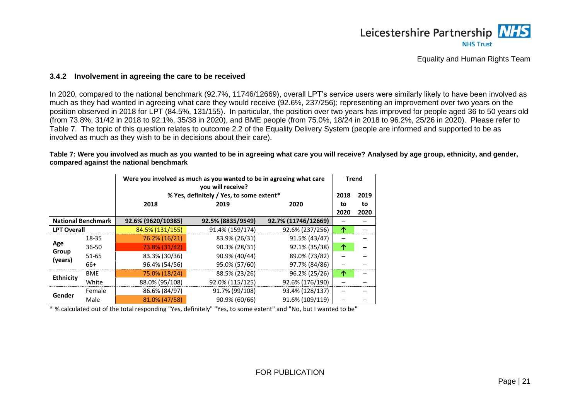

#### **3.4.2 Involvement in agreeing the care to be received**

In 2020, compared to the national benchmark (92.7%, 11746/12669), overall LPT's service users were similarly likely to have been involved as much as they had wanted in agreeing what care they would receive (92.6%, 237/256); representing an improvement over two years on the position observed in 2018 for LPT (84.5%, 131/155). In particular, the position over two years has improved for people aged 36 to 50 years old (from 73.8%, 31/42 in 2018 to 92.1%, 35/38 in 2020), and BME people (from 75.0%, 18/24 in 2018 to 96.2%, 25/26 in 2020). Please refer to [Table 7.](#page-23-2) The topic of this question relates to outcome 2.2 of the Equality Delivery System (people are informed and supported to be as involved as much as they wish to be in decisions about their care).

<span id="page-23-2"></span>**Table 7: Were you involved as much as you wanted to be in agreeing what care you will receive? Analysed by age group, ethnicity, and gender, compared against the national benchmark**

| Were you involved as much as you wanted to be in agreeing what care<br>you will receive? |                           |                    |                                                  |                     |      | <b>Trend</b> |  |  |  |
|------------------------------------------------------------------------------------------|---------------------------|--------------------|--------------------------------------------------|---------------------|------|--------------|--|--|--|
|                                                                                          |                           |                    | % Yes, definitely / Yes, to some extent*<br>2018 |                     |      |              |  |  |  |
|                                                                                          | 2018<br>2020<br>2019      |                    |                                                  |                     |      |              |  |  |  |
|                                                                                          |                           |                    |                                                  |                     | 2020 | 2020         |  |  |  |
|                                                                                          | <b>National Benchmark</b> | 92.6% (9620/10385) | 92.5% (8835/9549)                                | 92.7% (11746/12669) |      |              |  |  |  |
| <b>LPT Overall</b>                                                                       |                           | 84.5% (131/155)    | 91.4% (159/174)                                  | 92.6% (237/256)     | 个    |              |  |  |  |
|                                                                                          | 18-35                     | 76.2% (16/21)      | 83.9% (26/31)                                    | 91.5% (43/47)       |      |              |  |  |  |
| Age                                                                                      | $36 - 50$                 | 73.8% (31/42)      | 90.3% (28/31)                                    | 92.1% (35/38)       | 个    |              |  |  |  |
| Group<br>(years)                                                                         | 51-65                     | 83.3% (30/36)      | 90.9% (40/44)                                    | 89.0% (73/82)       |      |              |  |  |  |
|                                                                                          | 66+                       | 96.4% (54/56)      | 95.0% (57/60)                                    | 97.7% (84/86)       |      |              |  |  |  |
| <b>Ethnicity</b>                                                                         | <b>BME</b>                | 75.0% (18/24)      | 88.5% (23/26)                                    | 96.2% (25/26)       | 个    |              |  |  |  |
|                                                                                          | White                     | 88.0% (95/108)     | 92.0% (115/125)                                  | 92.6% (176/190)     |      |              |  |  |  |
| Gender                                                                                   | Female                    | 86.6% (84/97)      | 91.7% (99/108)                                   | 93.4% (128/137)     |      |              |  |  |  |
|                                                                                          | Male                      | 81.0% (47/58)      | 90.9% (60/66)                                    | 91.6% (109/119)     |      |              |  |  |  |

<span id="page-23-1"></span><span id="page-23-0"></span>\* % calculated out of the total responding "Yes, definitely" "Yes, to some extent" and "No, but I wanted to be"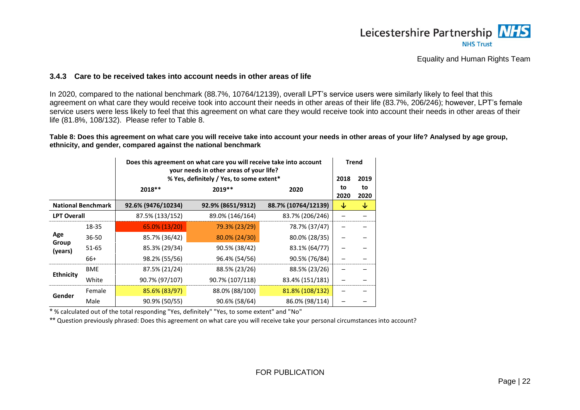

#### **3.4.3 Care to be received takes into account needs in other areas of life**

In 2020, compared to the national benchmark (88.7%, 10764/12139), overall LPT's service users were similarly likely to feel that this agreement on what care they would receive took into account their needs in other areas of their life (83.7%, 206/246); however, LPT's female service users were less likely to feel that this agreement on what care they would receive took into account their needs in other areas of their life (81.8%, 108/132). Please refer to [Table 8.](#page-24-2)

<span id="page-24-2"></span>**Table 8: Does this agreement on what care you will receive take into account your needs in other areas of your life? Analysed by age group, ethnicity, and gender, compared against the national benchmark**

|                                      |                           |                    | Does this agreement on what care you will receive take into account<br>your needs in other areas of your life?<br>% Yes, definitely / Yes, to some extent*<br>2018 |                     |   |            |  |  |
|--------------------------------------|---------------------------|--------------------|--------------------------------------------------------------------------------------------------------------------------------------------------------------------|---------------------|---|------------|--|--|
| $2019**$<br>$2018**$<br>2020<br>2020 |                           |                    |                                                                                                                                                                    |                     |   | to<br>2020 |  |  |
|                                      | <b>National Benchmark</b> | 92.6% (9476/10234) | 92.9% (8651/9312)                                                                                                                                                  | 88.7% (10764/12139) | ↓ | ↓          |  |  |
| <b>LPT Overall</b>                   |                           | 87.5% (133/152)    | 89.0% (146/164)                                                                                                                                                    | 83.7% (206/246)     |   |            |  |  |
|                                      | 18-35                     | 65.0% (13/20)      | 79.3% (23/29)                                                                                                                                                      | 78.7% (37/47)       |   |            |  |  |
| Age                                  | 36-50                     | 85.7% (36/42)      | 80.0% (24/30)                                                                                                                                                      | 80.0% (28/35)       |   |            |  |  |
| Group<br>(years)                     | 51-65                     | 85.3% (29/34)      | 90.5% (38/42)                                                                                                                                                      | 83.1% (64/77)       |   |            |  |  |
|                                      | 66+                       | 98.2% (55/56)      | 96.4% (54/56)                                                                                                                                                      | 90.5% (76/84)       |   |            |  |  |
| <b>Ethnicity</b>                     | <b>BME</b>                | 87.5% (21/24)      | 88.5% (23/26)                                                                                                                                                      | 88.5% (23/26)       |   |            |  |  |
|                                      | White                     | 90.7% (97/107)     | 90.7% (107/118)                                                                                                                                                    | 83.4% (151/181)     |   |            |  |  |
|                                      | Female                    | 85.6% (83/97)      | 88.0% (88/100)                                                                                                                                                     | 81.8% (108/132)     |   |            |  |  |
| Gender                               | Male                      | 90.9% (50/55)      | 90.6% (58/64)                                                                                                                                                      | 86.0% (98/114)      |   |            |  |  |

<span id="page-24-1"></span><span id="page-24-0"></span>\* % calculated out of the total responding "Yes, definitely" "Yes, to some extent" and "No"

\*\* Question previously phrased: Does this agreement on what care you will receive take your personal circumstances into account?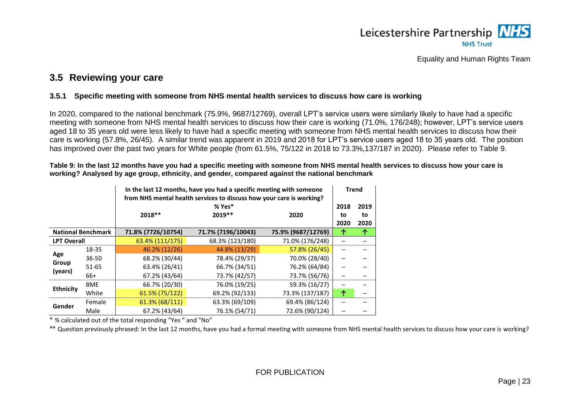

### **3.5 Reviewing your care**

#### **3.5.1 Specific meeting with someone from NHS mental health services to discuss how care is working**

In 2020, compared to the national benchmark (75.9%, 9687/12769), overall LPT's service users were similarly likely to have had a specific meeting with someone from NHS mental health services to discuss how their care is working (71.0%, 176/248); however, LPT's service users aged 18 to 35 years old were less likely to have had a specific meeting with someone from NHS mental health services to discuss how their care is working (57.8%, 26/45). A similar trend was apparent in 2019 and 2018 for LPT's service users aged 18 to 35 years old. The position has improved over the past two years for White people (from 61.5%, 75/122 in 2018 to 73.3%,137/187 in 2020). Please refer to [Table 9.](#page-25-3)

<span id="page-25-3"></span>**Table 9: In the last 12 months have you had a specific meeting with someone from NHS mental health services to discuss how your care is working? Analysed by age group, ethnicity, and gender, compared against the national benchmark**

<span id="page-25-0"></span>

|                    |                                  |                    | In the last 12 months, have you had a specific meeting with someone<br>from NHS mental health services to discuss how your care is working? |                    |      |      |  |  |
|--------------------|----------------------------------|--------------------|---------------------------------------------------------------------------------------------------------------------------------------------|--------------------|------|------|--|--|
|                    |                                  |                    | $% Yes*$                                                                                                                                    |                    | 2018 | 2019 |  |  |
|                    | $2019**$<br>2018**<br>2020<br>to |                    |                                                                                                                                             |                    |      |      |  |  |
|                    |                                  |                    |                                                                                                                                             |                    | 2020 | 2020 |  |  |
|                    | <b>National Benchmark</b>        | 71.8% (7726/10754) | 71.7% (7196/10043)                                                                                                                          | 75.9% (9687/12769) | ↑    | 个    |  |  |
| <b>LPT Overall</b> |                                  | 63.4% (111/175)    | 68.3% (123/180)                                                                                                                             | 71.0% (176/248)    |      |      |  |  |
|                    | 18-35                            | 46.2% (12/26)      | 44.8% (13/29)                                                                                                                               | 57.8% (26/45)      |      |      |  |  |
| Age                | $36 - 50$                        | 68.2% (30/44)      | 78.4% (29/37)                                                                                                                               | 70.0% (28/40)      |      |      |  |  |
| Group<br>(years)   | 51-65                            | 63.4% (26/41)      | 66.7% (34/51)                                                                                                                               | 76.2% (64/84)      |      |      |  |  |
|                    | $66+$                            | 67.2% (43/64)      | 73.7% (42/57)                                                                                                                               | 73.7% (56/76)      |      |      |  |  |
| <b>Ethnicity</b>   | <b>BME</b>                       | 66.7% (20/30)      | 76.0% (19/25)                                                                                                                               | 59.3% (16/27)      |      |      |  |  |
|                    | White                            | 61.5% (75/122)     | 69.2% (92/133)                                                                                                                              | 73.3% (137/187)    | 个    |      |  |  |
| Gender             | Female                           | 61.3% (68/111)     | 63.3% (69/109)                                                                                                                              | 69.4% (86/124)     |      |      |  |  |
|                    | Male                             | 67.2% (43/64)      | 76.1% (54/71)                                                                                                                               | 72.6% (90/124)     |      |      |  |  |

<span id="page-25-1"></span>\* % calculated out of the total responding "Yes " and "No"

<span id="page-25-2"></span>\*\* Question previously phrased: In the last 12 months, have you had a formal meeting with someone from NHS mental health services to discuss how your care is working?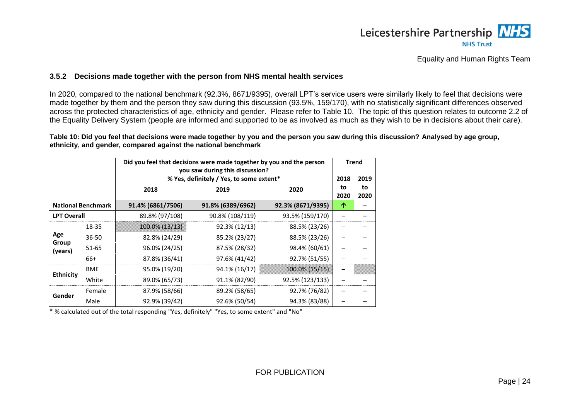

#### **3.5.2 Decisions made together with the person from NHS mental health services**

In 2020, compared to the national benchmark (92.3%, 8671/9395), overall LPT's service users were similarly likely to feel that decisions were made together by them and the person they saw during this discussion (93.5%, 159/170), with no statistically significant differences observed across the protected characteristics of age, ethnicity and gender. Please refer to [Table 10.](#page-26-1) The topic of this question relates to outcome 2.2 of the Equality Delivery System (people are informed and supported to be as involved as much as they wish to be in decisions about their care).

<span id="page-26-1"></span>**Table 10: Did you feel that decisions were made together by you and the person you saw during this discussion? Analysed by age group, ethnicity, and gender, compared against the national benchmark**

|                           |            |                   | Did you feel that decisions were made together by you and the person<br>you saw during this discussion? |                   |            | <b>Trend</b> |
|---------------------------|------------|-------------------|---------------------------------------------------------------------------------------------------------|-------------------|------------|--------------|
|                           |            |                   | % Yes, definitely / Yes, to some extent*                                                                |                   | 2018       | 2019         |
|                           |            | 2018              | 2019                                                                                                    | 2020              | to<br>2020 | to<br>2020   |
| <b>National Benchmark</b> |            | 91.4% (6861/7506) | 91.8% (6389/6962)                                                                                       | 92.3% (8671/9395) | 个          |              |
| <b>LPT Overall</b>        |            | 89.8% (97/108)    | 90.8% (108/119)                                                                                         | 93.5% (159/170)   |            |              |
|                           | 18-35      | 100.0% (13/13)    | 92.3% (12/13)                                                                                           | 88.5% (23/26)     |            |              |
| Age                       | 36-50      | 82.8% (24/29)     | 85.2% (23/27)                                                                                           | 88.5% (23/26)     |            |              |
| Group<br>(years)          | 51-65      | 96.0% (24/25)     | 87.5% (28/32)                                                                                           | 98.4% (60/61)     |            |              |
|                           | 66+        | 87.8% (36/41)     | 97.6% (41/42)                                                                                           | 92.7% (51/55)     |            |              |
|                           | <b>BME</b> | 95.0% (19/20)     | 94.1% (16/17)                                                                                           | 100.0% (15/15)    |            |              |
| <b>Ethnicity</b>          | White      | 89.0% (65/73)     | 91.1% (82/90)                                                                                           | 92.5% (123/133)   |            |              |
|                           | Female     | 87.9% (58/66)     | 89.2% (58/65)                                                                                           | 92.7% (76/82)     |            |              |
| Gender                    | Male       | 92.9% (39/42)     | 92.6% (50/54)                                                                                           | 94.3% (83/88)     |            |              |

<span id="page-26-0"></span>\* % calculated out of the total responding "Yes, definitely" "Yes, to some extent" and "No"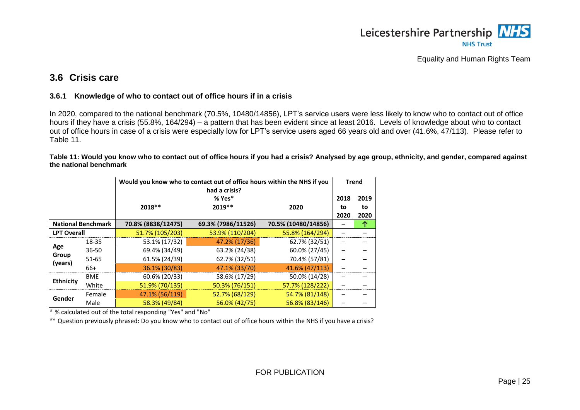

### **3.6 Crisis care**

#### **3.6.1 Knowledge of who to contact out of office hours if in a crisis**

In 2020, compared to the national benchmark (70.5%, 10480/14856), LPT's service users were less likely to know who to contact out of office hours if they have a crisis (55.8%, 164/294) – a pattern that has been evident since at least 2016. Levels of knowledge about who to contact out of office hours in case of a crisis were especially low for LPT's service users aged 66 years old and over (41.6%, 47/113). Please refer to [Table 11.](#page-27-3)

<span id="page-27-3"></span>**Table 11: Would you know who to contact out of office hours if you had a crisis? Analysed by age group, ethnicity, and gender, compared against the national benchmark**

<span id="page-27-0"></span>

|                           |            |                    | Would you know who to contact out of office hours within the NHS if you<br>had a crisis? |                     |      | <b>Trend</b> |
|---------------------------|------------|--------------------|------------------------------------------------------------------------------------------|---------------------|------|--------------|
|                           |            |                    | $% Yes*$                                                                                 |                     | 2018 | 2019         |
|                           |            | 2018 **            | $2019**$                                                                                 | 2020                | to   | to           |
|                           |            |                    |                                                                                          |                     | 2020 | 2020         |
| <b>National Benchmark</b> |            | 70.8% (8838/12475) | 69.3% (7986/11526)                                                                       | 70.5% (10480/14856) |      | ↑            |
| <b>LPT Overall</b>        |            | 51.7% (105/203)    | 53.9% (110/204)                                                                          | 55.8% (164/294)     |      |              |
|                           | 18-35      | 53.1% (17/32)      | 47.2% (17/36)                                                                            | 62.7% (32/51)       |      |              |
| Age                       | $36 - 50$  | 69.4% (34/49)      | 63.2% (24/38)                                                                            | 60.0% (27/45)       |      |              |
| Group<br>(years)          | 51-65      | 61.5% (24/39)      | 62.7% (32/51)                                                                            | 70.4% (57/81)       |      |              |
|                           | 66+        | 36.1% (30/83)      | 47.1% (33/70)                                                                            | 41.6% (47/113)      |      |              |
|                           | <b>BME</b> | 60.6% (20/33)      | 58.6% (17/29)                                                                            | 50.0% (14/28)       |      |              |
| <b>Ethnicity</b>          | White      | 51.9% (70/135)     | 50.3% (76/151)                                                                           | 57.7% (128/222)     |      |              |
|                           | Female     | 47.1% (56/119)     | 52.7% (68/129)                                                                           | 54.7% (81/148)      |      |              |
| Gender                    | Male       | 58.3% (49/84)      | 56.0% (42/75)                                                                            | 56.8% (83/146)      |      |              |

<span id="page-27-1"></span>\* % calculated out of the total responding "Yes" and "No"

<span id="page-27-2"></span>\*\* Question previously phrased: Do you know who to contact out of office hours within the NHS if you have a crisis?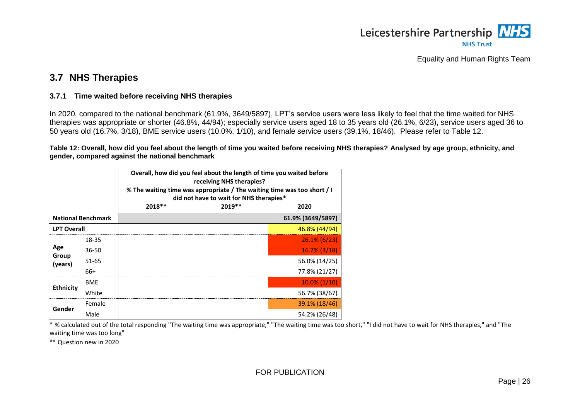

### **3.7 NHS Therapies**

#### **3.7.1 Time waited before receiving NHS therapies**

In 2020, compared to the national benchmark (61.9%, 3649/5897), LPT's service users were less likely to feel that the time waited for NHS therapies was appropriate or shorter (46.8%, 44/94); especially service users aged 18 to 35 years old (26.1%, 6/23), service users aged 36 to 50 years old (16.7%, 3/18), BME service users (10.0%, 1/10), and female service users (39.1%, 18/46). Please refer to [Table 12.](#page-28-3)

<span id="page-28-3"></span>**Table 12: Overall, how did you feel about the length of time you waited before receiving NHS therapies? Analysed by age group, ethnicity, and gender, compared against the national benchmark**

<span id="page-28-0"></span>

|                    |                           | Overall, how did you feel about the length of time you waited before<br>receiving NHS therapies?<br>% The waiting time was appropriate / The waiting time was too short / I<br>did not have to wait for NHS therapies* |          |                   |  |
|--------------------|---------------------------|------------------------------------------------------------------------------------------------------------------------------------------------------------------------------------------------------------------------|----------|-------------------|--|
|                    |                           | 2018 **                                                                                                                                                                                                                | $2019**$ | 2020              |  |
|                    | <b>National Benchmark</b> |                                                                                                                                                                                                                        |          | 61.9% (3649/5897) |  |
| <b>LPT Overall</b> |                           |                                                                                                                                                                                                                        |          | 46.8% (44/94)     |  |
|                    | 18-35                     |                                                                                                                                                                                                                        |          | $26.1\%$ (6/23)   |  |
| Age                | 36-50                     |                                                                                                                                                                                                                        |          | $16.7\%$ (3/18)   |  |
| Group<br>(years)   | $51 - 65$                 |                                                                                                                                                                                                                        |          | 56.0% (14/25)     |  |
|                    | 66+                       |                                                                                                                                                                                                                        |          | 77.8% (21/27)     |  |
|                    | <b>BME</b>                |                                                                                                                                                                                                                        |          | $10.0\%$ (1/10)   |  |
| <b>Ethnicity</b>   | White                     |                                                                                                                                                                                                                        |          | 56.7% (38/67)     |  |
| Gender             | Female                    |                                                                                                                                                                                                                        |          | 39.1% (18/46)     |  |
|                    | Male                      |                                                                                                                                                                                                                        |          | 54.2% (26/48)     |  |

<span id="page-28-2"></span><span id="page-28-1"></span> $\overline{\cdot}$  % calculated out of the total responding "The waiting time was appropriate," "The waiting time was too short," "I did not have to wait for NHS therapies," and "The waiting time was too long"

\*\* Question new in 2020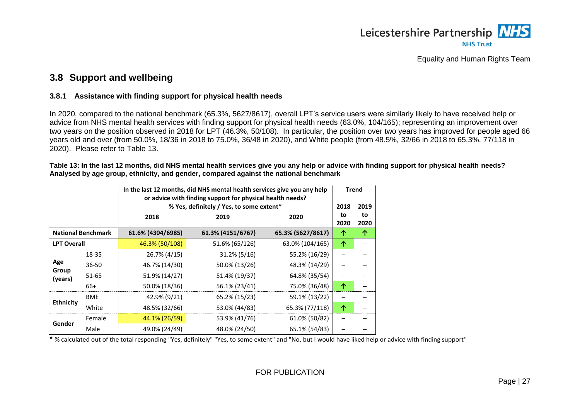

### **3.8 Support and wellbeing**

#### **3.8.1 Assistance with finding support for physical health needs**

In 2020, compared to the national benchmark (65.3%, 5627/8617), overall LPT's service users were similarly likely to have received help or advice from NHS mental health services with finding support for physical health needs (63.0%, 104/165); representing an improvement over two years on the position observed in 2018 for LPT (46.3%, 50/108). In particular, the position over two years has improved for people aged 66 years old and over (from 50.0%, 18/36 in 2018 to 75.0%, 36/48 in 2020), and White people (from 48.5%, 32/66 in 2018 to 65.3%, 77/118 in 2020). Please refer to [Table 13.](#page-29-3)

<span id="page-29-3"></span>**Table 13: In the last 12 months, did NHS mental health services give you any help or advice with finding support for physical health needs? Analysed by age group, ethnicity, and gender, compared against the national benchmark**

<span id="page-29-0"></span>

|                    |                           |                   | In the last 12 months, did NHS mental health services give you any help<br>or advice with finding support for physical health needs? |                   |      | <b>Trend</b> |
|--------------------|---------------------------|-------------------|--------------------------------------------------------------------------------------------------------------------------------------|-------------------|------|--------------|
|                    |                           | 2018              | % Yes, definitely / Yes, to some extent*<br>2018<br>2020<br>2019                                                                     |                   |      | 2019<br>to   |
|                    |                           |                   |                                                                                                                                      |                   | 2020 | 2020         |
|                    | <b>National Benchmark</b> | 61.6% (4304/6985) | 61.3% (4151/6767)                                                                                                                    | 65.3% (5627/8617) | 个    | 个            |
| <b>LPT Overall</b> |                           | 46.3% (50/108)    | 51.6% (65/126)                                                                                                                       | 63.0% (104/165)   | 个    |              |
|                    | 18-35                     | 26.7% (4/15)      | 31.2% (5/16)                                                                                                                         | 55.2% (16/29)     |      |              |
| Age                | $36 - 50$                 | 46.7% (14/30)     | 50.0% (13/26)                                                                                                                        | 48.3% (14/29)     |      |              |
| Group<br>(years)   | 51-65                     | 51.9% (14/27)     | 51.4% (19/37)                                                                                                                        | 64.8% (35/54)     |      |              |
|                    | 66+                       | 50.0% (18/36)     | 56.1% (23/41)                                                                                                                        | 75.0% (36/48)     | 个    |              |
| <b>Ethnicity</b>   | <b>BME</b>                | 42.9% (9/21)      | 65.2% (15/23)                                                                                                                        | 59.1% (13/22)     |      |              |
|                    | White                     | 48.5% (32/66)     | 53.0% (44/83)                                                                                                                        | 65.3% (77/118)    | 个    |              |
| Gender             | Female                    | 44.1% (26/59)     | 53.9% (41/76)                                                                                                                        | 61.0% (50/82)     |      |              |
|                    | Male                      | 49.0% (24/49)     | 48.0% (24/50)                                                                                                                        | 65.1% (54/83)     |      |              |

<span id="page-29-2"></span><span id="page-29-1"></span>\* % calculated out of the total responding "Yes, definitely" "Yes, to some extent" and "No, but I would have liked help or advice with finding support"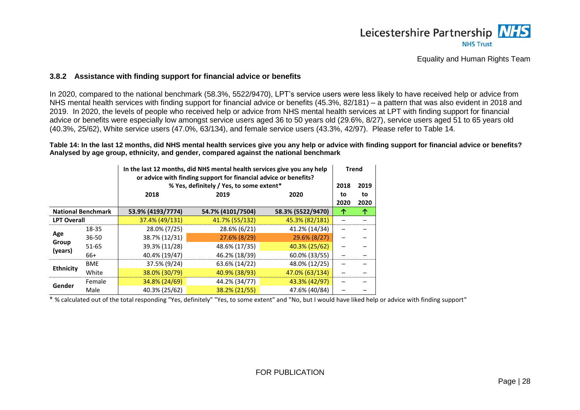

#### **3.8.2 Assistance with finding support for financial advice or benefits**

In 2020, compared to the national benchmark (58.3%, 5522/9470), LPT's service users were less likely to have received help or advice from NHS mental health services with finding support for financial advice or benefits (45.3%, 82/181) – a pattern that was also evident in 2018 and 2019. In 2020, the levels of people who received help or advice from NHS mental health services at LPT with finding support for financial advice or benefits were especially low amongst service users aged 36 to 50 years old (29.6%, 8/27), service users aged 51 to 65 years old (40.3%, 25/62), White service users (47.0%, 63/134), and female service users (43.3%, 42/97). Please refer to [Table 14.](#page-30-2)

<span id="page-30-2"></span>**Table 14: In the last 12 months, did NHS mental health services give you any help or advice with finding support for financial advice or benefits? Analysed by age group, ethnicity, and gender, compared against the national benchmark**

|                           |            | In the last 12 months, did NHS mental health services give you any help<br>or advice with finding support for financial advice or benefits? |                                                                  |                   |      | <b>Trend</b><br>2019 |
|---------------------------|------------|---------------------------------------------------------------------------------------------------------------------------------------------|------------------------------------------------------------------|-------------------|------|----------------------|
|                           |            | 2018                                                                                                                                        | % Yes, definitely / Yes, to some extent*<br>2018<br>2020<br>2019 |                   |      |                      |
|                           |            |                                                                                                                                             |                                                                  |                   | 2020 | 2020                 |
| <b>National Benchmark</b> |            | 53.9% (4193/7774)                                                                                                                           | 54.7% (4101/7504)                                                | 58.3% (5522/9470) |      | 个                    |
| <b>LPT Overall</b>        |            | 37.4% (49/131)                                                                                                                              | 41.7% (55/132)                                                   | 45.3% (82/181)    |      |                      |
|                           | 18-35      | 28.0% (7/25)                                                                                                                                | 28.6% (6/21)                                                     | 41.2% (14/34)     |      |                      |
| Age                       | $36 - 50$  | 38.7% (12/31)                                                                                                                               | 27.6% (8/29)                                                     | 29.6% (8/27)      |      |                      |
| Group<br>(years)          | $51 - 65$  | 39.3% (11/28)                                                                                                                               | 48.6% (17/35)                                                    | 40.3% (25/62)     |      |                      |
|                           | 66+        | 40.4% (19/47)                                                                                                                               | 46.2% (18/39)                                                    | 60.0% (33/55)     |      |                      |
|                           | <b>BME</b> | 37.5% (9/24)                                                                                                                                | 63.6% (14/22)                                                    | 48.0% (12/25)     |      |                      |
| <b>Ethnicity</b>          | White      | 38.0% (30/79)                                                                                                                               | 40.9% (38/93)                                                    | 47.0% (63/134)    |      |                      |
|                           | Female     | 34.8% (24/69)                                                                                                                               | 44.2% (34/77)                                                    | 43.3% (42/97)     |      |                      |
| Gender                    | Male       | 40.3% (25/62)                                                                                                                               | 38.2% (21/55)                                                    | 47.6% (40/84)     |      |                      |

<span id="page-30-1"></span><span id="page-30-0"></span>\* % calculated out of the total responding "Yes, definitely" "Yes, to some extent" and "No, but I would have liked help or advice with finding support"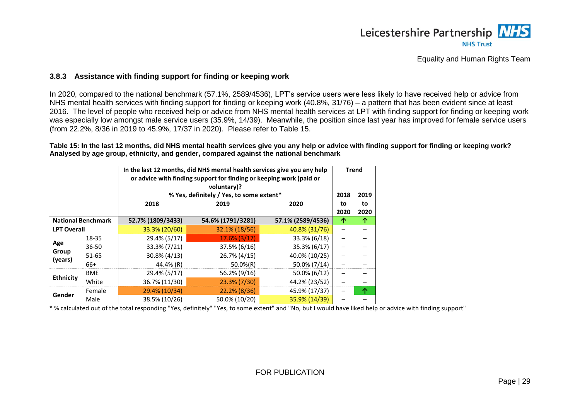

#### **3.8.3 Assistance with finding support for finding or keeping work**

In 2020, compared to the national benchmark (57.1%, 2589/4536), LPT's service users were less likely to have received help or advice from NHS mental health services with finding support for finding or keeping work (40.8%, 31/76) – a pattern that has been evident since at least 2016. The level of people who received help or advice from NHS mental health services at LPT with finding support for finding or keeping work was especially low amongst male service users (35.9%, 14/39). Meanwhile, the position since last year has improved for female service users (from 22.2%, 8/36 in 2019 to 45.9%, 17/37 in 2020). Please refer to [Table 15.](#page-31-2)

#### <span id="page-31-2"></span>**Table 15: In the last 12 months, did NHS mental health services give you any help or advice with finding support for finding or keeping work? Analysed by age group, ethnicity, and gender, compared against the national benchmark**

|                           |            |                   | In the last 12 months, did NHS mental health services give you any help<br>or advice with finding support for finding or keeping work (paid or<br>voluntary)?<br>% Yes, definitely / Yes, to some extent*<br>2018 |                   |            |                    |
|---------------------------|------------|-------------------|-------------------------------------------------------------------------------------------------------------------------------------------------------------------------------------------------------------------|-------------------|------------|--------------------|
|                           |            | 2018              | 2019                                                                                                                                                                                                              | 2020              | to<br>2020 | 2019<br>to<br>2020 |
| <b>National Benchmark</b> |            | 52.7% (1809/3433) | 54.6% (1791/3281)                                                                                                                                                                                                 | 57.1% (2589/4536) | ↑          | 个                  |
| <b>LPT Overall</b>        |            | 33.3% (20/60)     | 32.1% (18/56)                                                                                                                                                                                                     | 40.8% (31/76)     |            |                    |
|                           | 18-35      | 29.4% (5/17)      | $17.6\%$ (3/17)                                                                                                                                                                                                   | 33.3% (6/18)      |            |                    |
| Age                       | $36 - 50$  | 33.3% (7/21)      | 37.5% (6/16)                                                                                                                                                                                                      | 35.3% (6/17)      |            |                    |
| Group<br>(years)          | $51 - 65$  | $30.8\% (4/13)$   | 26.7% (4/15)                                                                                                                                                                                                      | 40.0% (10/25)     |            |                    |
|                           | 66+        | 44.4% (R)         | $50.0\%(R)$                                                                                                                                                                                                       | 50.0% (7/14)      |            |                    |
|                           | <b>BME</b> | 29.4% (5/17)      | 56.2% (9/16)                                                                                                                                                                                                      | 50.0% (6/12)      |            |                    |
| <b>Ethnicity</b>          | White      | 36.7% (11/30)     | 23.3% (7/30)                                                                                                                                                                                                      | 44.2% (23/52)     |            |                    |
|                           | Female     | 29.4% (10/34)     | 22.2% (8/36)                                                                                                                                                                                                      | 45.9% (17/37)     |            | 个                  |
| Gender                    | Male       | 38.5% (10/26)     | 50.0% (10/20)                                                                                                                                                                                                     | 35.9% (14/39)     |            |                    |

<span id="page-31-1"></span><span id="page-31-0"></span>\* % calculated out of the total responding "Yes, definitely" "Yes, to some extent" and "No, but I would have liked help or advice with finding support"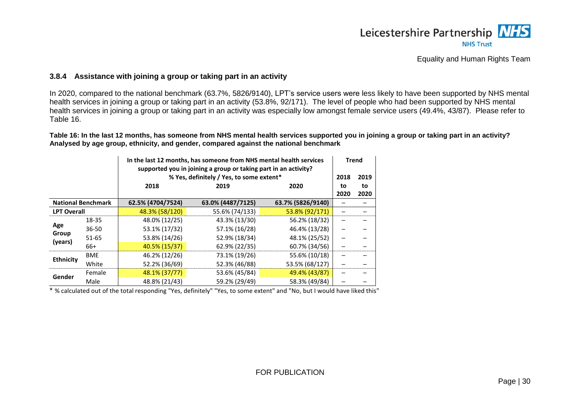

#### **3.8.4 Assistance with joining a group or taking part in an activity**

In 2020, compared to the national benchmark (63.7%, 5826/9140), LPT's service users were less likely to have been supported by NHS mental health services in joining a group or taking part in an activity (53.8%, 92/171). The level of people who had been supported by NHS mental health services in joining a group or taking part in an activity was especially low amongst female service users (49.4%, 43/87). Please refer to [Table 16.](#page-32-2)

<span id="page-32-2"></span>**Table 16: In the last 12 months, has someone from NHS mental health services supported you in joining a group or taking part in an activity? Analysed by age group, ethnicity, and gender, compared against the national benchmark**

|                           |            |                   | In the last 12 months, has someone from NHS mental health services<br>supported you in joining a group or taking part in an activity?<br>% Yes, definitely / Yes, to some extent* |                   |            |            |  |
|---------------------------|------------|-------------------|-----------------------------------------------------------------------------------------------------------------------------------------------------------------------------------|-------------------|------------|------------|--|
|                           |            | 2018              | 2019                                                                                                                                                                              | 2020              | to<br>2020 | to<br>2020 |  |
| <b>National Benchmark</b> |            | 62.5% (4704/7524) | 63.0% (4487/7125)                                                                                                                                                                 | 63.7% (5826/9140) |            |            |  |
| <b>LPT Overall</b>        |            | 48.3% (58/120)    | 55.6% (74/133)                                                                                                                                                                    | 53.8% (92/171)    |            |            |  |
|                           | 18-35      | 48.0% (12/25)     | 43.3% (13/30)                                                                                                                                                                     | 56.2% (18/32)     |            |            |  |
| Age                       | 36-50      | 53.1% (17/32)     | 57.1% (16/28)                                                                                                                                                                     | 46.4% (13/28)     |            |            |  |
| Group                     | 51-65      | 53.8% (14/26)     | 52.9% (18/34)                                                                                                                                                                     | 48.1% (25/52)     |            |            |  |
| (years)                   | 66+        | 40.5% (15/37)     | 62.9% (22/35)                                                                                                                                                                     | 60.7% (34/56)     |            |            |  |
|                           | <b>BME</b> | 46.2% (12/26)     | 73.1% (19/26)                                                                                                                                                                     | 55.6% (10/18)     |            |            |  |
| <b>Ethnicity</b>          | White      | 52.2% (36/69)     | 52.3% (46/88)                                                                                                                                                                     | 53.5% (68/127)    |            |            |  |
|                           | Female     | 48.1% (37/77)     | 53.6% (45/84)                                                                                                                                                                     | 49.4% (43/87)     |            |            |  |
| Gender                    | Male       | 48.8% (21/43)     | 59.2% (29/49)                                                                                                                                                                     | 58.3% (49/84)     |            |            |  |

<span id="page-32-1"></span><span id="page-32-0"></span>\* % calculated out of the total responding "Yes, definitely" "Yes, to some extent" and "No, but I would have liked this"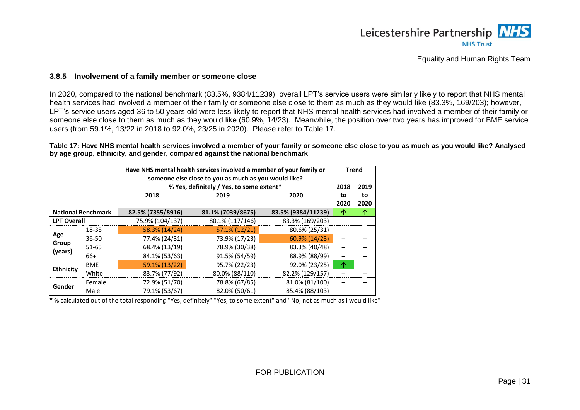

#### **3.8.5 Involvement of a family member or someone close**

In 2020, compared to the national benchmark (83.5%, 9384/11239), overall LPT's service users were similarly likely to report that NHS mental health services had involved a member of their family or someone else close to them as much as they would like (83.3%, 169/203); however, LPT's service users aged 36 to 50 years old were less likely to report that NHS mental health services had involved a member of their family or someone else close to them as much as they would like (60.9%, 14/23). Meanwhile, the position over two years has improved for BME service users (from 59.1%, 13/22 in 2018 to 92.0%, 23/25 in 2020). Please refer to [Table 17.](#page-33-2)

#### <span id="page-33-2"></span>**Table 17: Have NHS mental health services involved a member of your family or someone else close to you as much as you would like? Analysed by age group, ethnicity, and gender, compared against the national benchmark**

|                    |                           |                   | Have NHS mental health services involved a member of your family or<br>someone else close to you as much as you would like?<br>% Yes, definitely / Yes, to some extent* |                    |                    | <b>Trend</b><br>2019 |
|--------------------|---------------------------|-------------------|-------------------------------------------------------------------------------------------------------------------------------------------------------------------------|--------------------|--------------------|----------------------|
|                    |                           | 2018              | 2019                                                                                                                                                                    | 2020               | 2018<br>to<br>2020 | to<br>2020           |
|                    | <b>National Benchmark</b> | 82.5% (7355/8916) | 81.1% (7039/8675)                                                                                                                                                       | 83.5% (9384/11239) | ́↑                 | ↑                    |
| <b>LPT Overall</b> |                           | 75.9% (104/137)   | 80.1% (117/146)                                                                                                                                                         | 83.3% (169/203)    |                    |                      |
|                    | 18-35                     | 58.3% (14/24)     | 57.1% (12/21)                                                                                                                                                           | 80.6% (25/31)      |                    |                      |
| Age                | $36 - 50$                 | 77.4% (24/31)     | 73.9% (17/23)                                                                                                                                                           | $60.9\%$ (14/23)   |                    |                      |
| Group<br>(years)   | $51 - 65$                 | 68.4% (13/19)     | 78.9% (30/38)                                                                                                                                                           | 83.3% (40/48)      |                    |                      |
|                    | 66+                       | 84.1% (53/63)     | 91.5% (54/59)                                                                                                                                                           | 88.9% (88/99)      |                    |                      |
|                    | <b>BME</b>                | 59.1% (13/22)     | 95.7% (22/23)                                                                                                                                                           | 92.0% (23/25)      | 个                  |                      |
| <b>Ethnicity</b>   | White                     | 83.7% (77/92)     | 80.0% (88/110)                                                                                                                                                          | 82.2% (129/157)    |                    |                      |
|                    | Female                    | 72.9% (51/70)     | 78.8% (67/85)                                                                                                                                                           | 81.0% (81/100)     |                    |                      |
| Gender             | Male                      | 79.1% (53/67)     | 82.0% (50/61)                                                                                                                                                           | 85.4% (88/103)     |                    |                      |

<span id="page-33-1"></span><span id="page-33-0"></span>\* % calculated out of the total responding "Yes, definitely" "Yes, to some extent" and "No, not as much as I would like"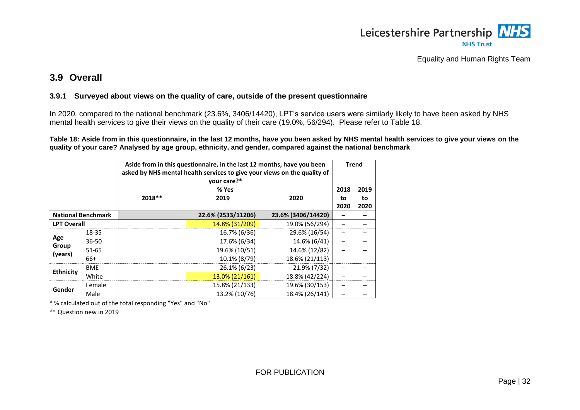

### **3.9 Overall**

#### **3.9.1 Surveyed about views on the quality of care, outside of the present questionnaire**

In 2020, compared to the national benchmark (23.6%, 3406/14420), LPT's service users were similarly likely to have been asked by NHS mental health services to give their views on the quality of their care (19.0%, 56/294). Please refer to [Table 18.](#page-34-2)

<span id="page-34-2"></span>**Table 18: Aside from in this questionnaire, in the last 12 months, have you been asked by NHS mental health services to give your views on the quality of your care? Analysed by age group, ethnicity, and gender, compared against the national benchmark**

|                           |            | Aside from in this questionnaire, in the last 12 months, have you been<br>asked by NHS mental health services to give your views on the quality of<br>your care?*<br>% Yes |                    | <b>Trend</b><br>2018 | 2019       |            |
|---------------------------|------------|----------------------------------------------------------------------------------------------------------------------------------------------------------------------------|--------------------|----------------------|------------|------------|
|                           |            | $2018**$                                                                                                                                                                   | 2019               | 2020                 | to<br>2020 | to<br>2020 |
| <b>National Benchmark</b> |            |                                                                                                                                                                            | 22.6% (2533/11206) | 23.6% (3406/14420)   |            |            |
| <b>LPT Overall</b>        |            |                                                                                                                                                                            | 14.8% (31/209)     | 19.0% (56/294)       |            |            |
|                           | 18-35      |                                                                                                                                                                            | 16.7% (6/36)       | 29.6% (16/54)        |            |            |
| Age                       | $36 - 50$  |                                                                                                                                                                            | 17.6% (6/34)       | 14.6% (6/41)         |            |            |
| Group<br>(years)          | $51 - 65$  |                                                                                                                                                                            | 19.6% (10/51)      | 14.6% (12/82)        |            |            |
|                           | $66+$      |                                                                                                                                                                            | 10.1% (8/79)       | 18.6% (21/113)       |            |            |
|                           | <b>BME</b> |                                                                                                                                                                            | 26.1% (6/23)       | 21.9% (7/32)         |            |            |
| <b>Ethnicity</b>          | White      |                                                                                                                                                                            | 13.0% (21/161)     | 18.8% (42/224)       |            |            |
|                           | Female     |                                                                                                                                                                            | 15.8% (21/133)     | 19.6% (30/153)       |            |            |
| Gender                    | Male       |                                                                                                                                                                            | 13.2% (10/76)      | 18.4% (26/141)       |            |            |

<span id="page-34-1"></span><span id="page-34-0"></span>\* % calculated out of the total responding "Yes" and "No"

\*\* Question new in 2019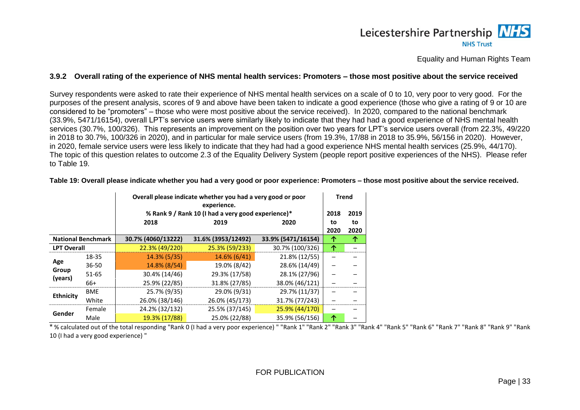### Leicestershire Partnership NHS **NHS Trust**

Equality and Human Rights Team

#### **3.9.2 Overall rating of the experience of NHS mental health services: Promoters – those most positive about the service received**

Survey respondents were asked to rate their experience of NHS mental health services on a scale of 0 to 10, very poor to very good. For the purposes of the present analysis, scores of 9 and above have been taken to indicate a good experience (those who give a rating of 9 or 10 are considered to be "promoters" – those who were most positive about the service received). In 2020, compared to the national benchmark (33.9%, 5471/16154), overall LPT's service users were similarly likely to indicate that they had had a good experience of NHS mental health services (30.7%, 100/326). This represents an improvement on the position over two years for LPT's service users overall (from 22.3%, 49/220 in 2018 to 30.7%, 100/326 in 2020), and in particular for male service users (from 19.3%, 17/88 in 2018 to 35.9%, 56/156 in 2020). However, in 2020, female service users were less likely to indicate that they had had a good experience NHS mental health services (25.9%, 44/170). The topic of this question relates to outcome 2.3 of the Equality Delivery System (people report positive experiences of the NHS). Please refer to [Table 19.](#page-35-2)

<span id="page-35-0"></span>

|                    |                           |                    | Overall please indicate whether you had a very good or poor<br>experience. |                    |      |      |  |
|--------------------|---------------------------|--------------------|----------------------------------------------------------------------------|--------------------|------|------|--|
|                    |                           |                    | % Rank 9 / Rank 10 (I had a very good experience)*                         |                    |      |      |  |
|                    |                           | 2018               | 2019                                                                       | 2020               | to   | to   |  |
|                    |                           |                    |                                                                            |                    | 2020 | 2020 |  |
|                    | <b>National Benchmark</b> | 30.7% (4060/13222) | 31.6% (3953/12492)                                                         | 33.9% (5471/16154) | ↑    | ↑    |  |
| <b>LPT Overall</b> |                           | 22.3% (49/220)     | 25.3% (59/233)                                                             | 30.7% (100/326)    | 个    |      |  |
|                    | 18-35                     | 14.3% (5/35)       | 14.6% (6/41)                                                               | 21.8% (12/55)      |      |      |  |
| Age                | $36 - 50$                 | 14.8% (8/54)       | 19.0% (8/42)                                                               | 28.6% (14/49)      |      |      |  |
| Group<br>(years)   | $51 - 65$                 | 30.4% (14/46)      | 29.3% (17/58)                                                              | 28.1% (27/96)      |      |      |  |
|                    | $66+$                     | 25.9% (22/85)      | 31.8% (27/85)                                                              | 38.0% (46/121)     |      |      |  |
|                    | <b>BME</b>                | 25.7% (9/35)       | 29.0% (9/31)                                                               | 29.7% (11/37)      |      |      |  |
| <b>Ethnicity</b>   | White                     | 26.0% (38/146)     | 26.0% (45/173)                                                             | 31.7% (77/243)     |      |      |  |
|                    | Female                    | 24.2% (32/132)     | 25.5% (37/145)                                                             | 25.9% (44/170)     |      |      |  |
| Gender             | Male                      | 19.3% (17/88)      | 25.0% (22/88)                                                              | 35.9% (56/156)     | 个    |      |  |

<span id="page-35-2"></span>**Table 19: Overall please indicate whether you had a very good or poor experience: Promoters – those most positive about the service received.**

<span id="page-35-1"></span>\* % calculated out of the total responding "Rank 0 (I had a very poor experience) " "Rank 1" "Rank 2" "Rank 3" "Rank 4" "Rank 5" "Rank 6" "Rank 7" "Rank 8" "Rank 9" "Rank 10 (I had a very good experience) "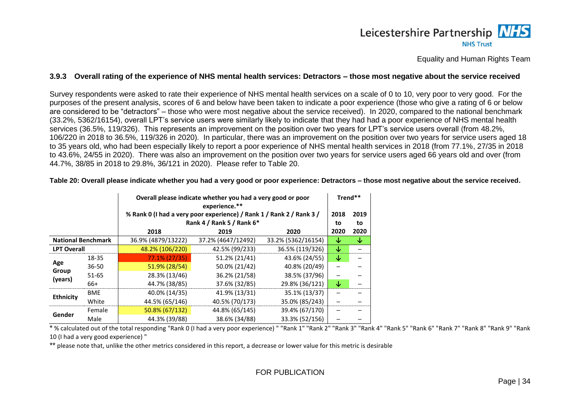### Leicestershire Partnership NHS **NHS Trust**

Equality and Human Rights Team

#### **3.9.3 Overall rating of the experience of NHS mental health services: Detractors – those most negative about the service received**

Survey respondents were asked to rate their experience of NHS mental health services on a scale of 0 to 10, very poor to very good. For the purposes of the present analysis, scores of 6 and below have been taken to indicate a poor experience (those who give a rating of 6 or below are considered to be "detractors" – those who were most negative about the service received). In 2020, compared to the national benchmark (33.2%, 5362/16154), overall LPT's service users were similarly likely to indicate that they had had a poor experience of NHS mental health services (36.5%, 119/326). This represents an improvement on the position over two years for LPT's service users overall (from 48.2%, 106/220 in 2018 to 36.5%, 119/326 in 2020). In particular, there was an improvement on the position over two years for service users aged 18 to 35 years old, who had been especially likely to report a poor experience of NHS mental health services in 2018 (from 77.1%, 27/35 in 2018 to 43.6%, 24/55 in 2020). There was also an improvement on the position over two years for service users aged 66 years old and over (from 44.7%, 38/85 in 2018 to 29.8%, 36/121 in 2020). Please refer to [Table 20.](#page-36-2)

<span id="page-36-0"></span>

|                           |            |                    | Overall please indicate whether you had a very good or poor<br>experience.** |                    |      | Trend** |  |
|---------------------------|------------|--------------------|------------------------------------------------------------------------------|--------------------|------|---------|--|
|                           |            |                    | % Rank 0 (I had a very poor experience) / Rank 1 / Rank 2 / Rank 3 /         |                    | 2018 | 2019    |  |
|                           |            |                    | Rank 4 / Rank 5 / Rank 6*                                                    |                    |      |         |  |
|                           |            | 2018               | 2019                                                                         | 2020               | 2020 | 2020    |  |
| <b>National Benchmark</b> |            | 36.9% (4879/13222) | 37.2% (4647/12492)                                                           | 33.2% (5362/16154) | ↓    | ↓       |  |
| <b>LPT Overall</b>        |            | 48.2% (106/220)    | 42.5% (99/233)                                                               | 36.5% (119/326)    | ↓    |         |  |
|                           | 18-35      | 77.1% (27/35)      | 51.2% (21/41)                                                                | 43.6% (24/55)      | ↓    |         |  |
| Age                       | 36-50      | 51.9% (28/54)      | 50.0% (21/42)                                                                | 40.8% (20/49)      |      |         |  |
| Group<br>(years)          | $51 - 65$  | 28.3% (13/46)      | 36.2% (21/58)                                                                | 38.5% (37/96)      |      |         |  |
|                           | 66+        | 44.7% (38/85)      | 37.6% (32/85)                                                                | 29.8% (36/121)     | ↓    |         |  |
|                           | <b>BME</b> | 40.0% (14/35)      | 41.9% (13/31)                                                                | 35.1% (13/37)      |      |         |  |
| <b>Ethnicity</b>          | White      | 44.5% (65/146)     | 40.5% (70/173)                                                               | 35.0% (85/243)     |      |         |  |
|                           | Female     | 50.8% (67/132)     | 44.8% (65/145)                                                               | 39.4% (67/170)     |      |         |  |
| Gender                    | Male       | 44.3% (39/88)      | 38.6% (34/88)                                                                | 33.3% (52/156)     |      |         |  |

<span id="page-36-2"></span>**Table 20: Overall please indicate whether you had a very good or poor experience: Detractors – those most negative about the service received.**

\* % calculated out of the total responding "Rank 0 (I had a very poor experience) " "Rank 1" "Rank 2" "Rank 3" "Rank 4" "Rank 5" "Rank 6" "Rank 7" "Rank 8" "Rank 9" "Rank 10 (I had a very good experience) "

<span id="page-36-1"></span>\*\* please note that, unlike the other metrics considered in this report, a decrease or lower value for this metric is desirable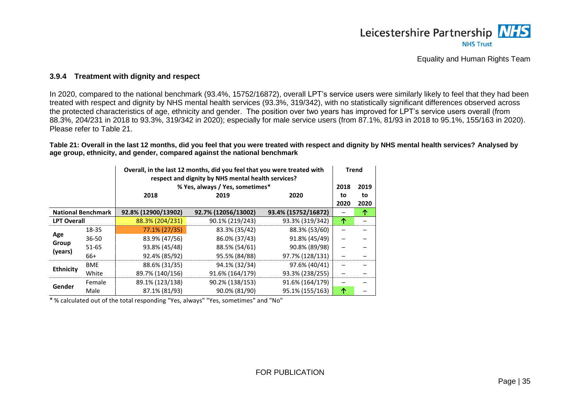

#### **3.9.4 Treatment with dignity and respect**

In 2020, compared to the national benchmark (93.4%, 15752/16872), overall LPT's service users were similarly likely to feel that they had been treated with respect and dignity by NHS mental health services (93.3%, 319/342), with no statistically significant differences observed across the protected characteristics of age, ethnicity and gender. The position over two years has improved for LPT's service users overall (from 88.3%, 204/231 in 2018 to 93.3%, 319/342 in 2020); especially for male service users (from 87.1%, 81/93 in 2018 to 95.1%, 155/163 in 2020). Please refer to [Table 21.](#page-37-2)

<span id="page-37-2"></span>**Table 21: Overall in the last 12 months, did you feel that you were treated with respect and dignity by NHS mental health services? Analysed by age group, ethnicity, and gender, compared against the national benchmark**

|                    |                           | Overall, in the last 12 months, did you feel that you were treated with<br>respect and dignity by NHS mental health services?<br>% Yes, always / Yes, sometimes* |                     |                     | <b>Trend</b><br>2018 | 2019       |
|--------------------|---------------------------|------------------------------------------------------------------------------------------------------------------------------------------------------------------|---------------------|---------------------|----------------------|------------|
|                    |                           | 2018                                                                                                                                                             | 2019                | 2020                | to<br>2020           | to<br>2020 |
|                    | <b>National Benchmark</b> | 92.8% (12900/13902)                                                                                                                                              | 92.7% (12056/13002) | 93.4% (15752/16872) |                      | 个          |
| <b>LPT Overall</b> |                           | 88.3% (204/231)                                                                                                                                                  | 90.1% (219/243)     | 93.3% (319/342)     | 个                    |            |
|                    | 18-35                     | 77.1% (27/35)                                                                                                                                                    | 83.3% (35/42)       | 88.3% (53/60)       |                      |            |
| Age                | $36 - 50$                 | 83.9% (47/56)                                                                                                                                                    | 86.0% (37/43)       | 91.8% (45/49)       |                      |            |
| Group              | $51 - 65$                 | 93.8% (45/48)                                                                                                                                                    | 88.5% (54/61)       | 90.8% (89/98)       |                      |            |
| (years)            | 66+                       | 92.4% (85/92)                                                                                                                                                    | 95.5% (84/88)       | 97.7% (128/131)     |                      |            |
|                    | <b>BME</b>                | 88.6% (31/35)                                                                                                                                                    | 94.1% (32/34)       | 97.6% (40/41)       |                      |            |
| <b>Ethnicity</b>   | White                     | 89.7% (140/156)                                                                                                                                                  | 91.6% (164/179)     | 93.3% (238/255)     |                      |            |
|                    | Female                    | 89.1% (123/138)                                                                                                                                                  | 90.2% (138/153)     | 91.6% (164/179)     |                      |            |
| Gender             | Male                      | 87.1% (81/93)                                                                                                                                                    | 90.0% (81/90)       | 95.1% (155/163)     | ↑                    |            |

<span id="page-37-1"></span><span id="page-37-0"></span>\* % calculated out of the total responding "Yes, always" "Yes, sometimes" and "No"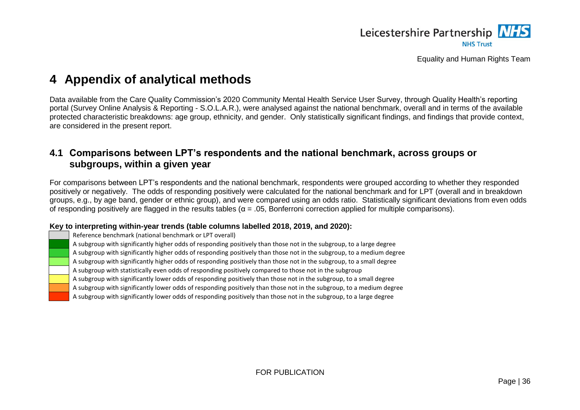

## **4 Appendix of analytical methods**

Data available from the Care Quality Commission's 2020 Community Mental Health Service User Survey, through Quality Health's reporting portal (Survey Online Analysis & Reporting - S.O.L.A.R.), were analysed against the national benchmark, overall and in terms of the available protected characteristic breakdowns: age group, ethnicity, and gender. Only statistically significant findings, and findings that provide context, are considered in the present report.

### **4.1 Comparisons between LPT's respondents and the national benchmark, across groups or subgroups, within a given year**

For comparisons between LPT's respondents and the national benchmark, respondents were grouped according to whether they responded positively or negatively. The odds of responding positively were calculated for the national benchmark and for LPT (overall and in breakdown groups, e.g., by age band, gender or ethnic group), and were compared using an odds ratio. Statistically significant deviations from even odds of responding positively are flagged in the results tables ( $\alpha = 0.05$ , Bonferroni correction applied for multiple comparisons).

#### **Key to interpreting within-year trends (table columns labelled 2018, 2019, and 2020):**

<span id="page-38-0"></span>

Reference benchmark (national benchmark or LPT overall)

A subgroup with significantly higher odds of responding positively than those not in the subgroup, to a large degree

A subgroup with significantly higher odds of responding positively than those not in the subgroup, to a medium degree

A subgroup with significantly higher odds of responding positively than those not in the subgroup, to a small degree

A subgroup with statistically even odds of responding positively compared to those not in the subgroup

A subgroup with significantly lower odds of responding positively than those not in the subgroup, to a small degree

A subgroup with significantly lower odds of responding positively than those not in the subgroup, to a medium degree

<span id="page-38-1"></span>A subgroup with significantly lower odds of responding positively than those not in the subgroup, to a large degree